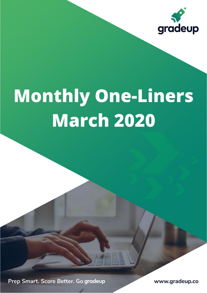

# **Monthly One-Liners March 2020**

Prep Smart. Score Better. Go gradeup

www.gradeup.co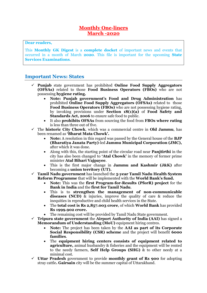#### **Monthly One-liners March -2020**

**Dear readers,**

This **Monthly GK Digest** is a **complete docket** of important news and events that occurred in a month of March **2020**. This file is important for the upcoming **State Services Examinations**.

#### **Important News: States**

- ✓ **Punjab** state government has prohibited **Online Food Supply Aggregators (OFSAs)** related to those **Food Business Operators (FBOs)** who are not possessing **hygiene rating.**
	- **Note: Punjab government's Food and Drug Administration** has prohibited **Online Food Supply Aggregators (OFSAs)** related to those **Food Business Operators (FBOs)** who are not possessing hygiene rating, by invoking provisions under **Section 18(1)(a)** of **Food Safety and Standards Act, 2006** to ensure safe food to public.
	- It also **prohibits OFSAs** from sourcing the food from **FBOs where rating** is less than three out of five.
- ✓ The **historic City Chowk**, which was a commercial centre in **Old Jammu**, has been renamed as **'Bharat Mata Chowk'.**
	- **Note:** A resolution in this regard was passed by the General house of the **BJP (Bharatiya Janata Party)**-led **Jammu Municipal Corporation (JMC),** after which it was done.
	- Along with this, the starting point of the circular road near **Panjtirthi** in the city has also been changed to **'Atal Chowk'** in the memory of former prime minister **Atal Bihari Vajpayee**.
	- This is the first major change in **Jammu and Kashmir (J&K)** after becoming a **union territory (UT).**
- ✓ **Tamil Nadu government** has launched the **5-year Tamil Nadu Health System Reform Programme** that will be implemented with the **World Bank's fund.**
	- **Note:** This was the **first Program-for-Results (PforR) project** for the **Bank in India** and the **first for Tamil Nadu**.
	- This is to **strengthen the management of non-communicable diseases (NCD)** & injuries, improve the quality of care & reduce the inequities in reproductive and child health services in the State.
	- The **total cost is Rs 2,857.003 crore**, of which **World Bank** has provided **Rs 1999.902 crore.**
	- The remaining cost will be provided by Tamil Nadu State government.
- ✓ **Tripura state government** the **Airport Authority of India (AAI)** has signed a **Memorandum of Understanding (MoU)** equipment hiring centres.
	- **Note:** The project has been taken by the **AAI as part of its Corporate Social Responsibility (CSR) scheme** and the project will benefit **6000 families**.
	- The **equipment hiring centers consists of equipment related to agriculture,** animal husbandry & fisheries and the equipment will be rented to the needy farmers, **Self Help Groups (SHG)** & to other needy at a minimal cost.
- ✓ **Uttar Pradesh** government to provide **monthly grant of Rs 900** for adopting stray cattle**. Gairsain** city will be the summer capital of Uttarakhand.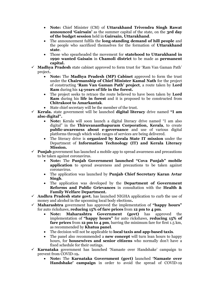- **Note:** Chief Minister (CM) of **Uttarakhand Trivendra Singh Rawat announced 'Gairsain'** as the summer capital of the state, on the **3rd day of the budget session** held in **Gairsain, Uttarakhand**.
- The announcement fulfils the **long-standing demand of hill people** and the people who sacrificed themselves for the formation of **Uttarakhand state**.
- Those who spearheaded the movement for **statehood to Uttarakhand in 1990 wanted Gaisain** in **Chamoli district** to be made as **permanent capital.**
- **Madhya Pradesh** state cabinet approved to form trust for 'Ram Van Gaman Path' project**.**
	- **Note:** The **Madhya Pradesh (MP) Cabinet** approved to form the trust under the **Chairmanship of Chief Minister Kamal Nath** for the project of constructing **'Ram Van Gaman Path' project**, a route taken by **Lord Ram** during his **14-years of life in the forest.**
	- The project seeks to retrace the route believed to have been taken by **Lord Ram** during his **life in forest** and it is proposed to be constructed from **Chitrakoot to Amarkantak**.
	- State chief secretary will be the member of the trust.
- ✓ **Kerala.** state government will be launched **digital literacy** drive named **"I am also digital".**
	- **Note:** Kerala will soon launch a digital literacy drive named "I am also digital" in the **Thiruvananthapuram Corporation, Kerala**, to create **public-awareness about e-governance** and use of various digital platforms through which wide ranges of services are being delivered.
	- The literacy drive is **organized by Kerala State IT mission** under the Department of **Information Technology (IT) and Kerala Literacy Mission.**
- $\checkmark$  **Punjab** government has launched a mobile app to spread awareness and precautions to be taken against coronavirus.
	- **Note:** The **Punjab Government launched "Cova Punjab" mobile application** to spread awareness and precautions to be taken against coronavirus.
	- The application was launched by **Punjab Chief Secretary Karan Avtar Singh**.
	- The application was developed by the **Department of Government Reforms and Public Grievances** in consultation with the **Health & Family Welfare Department.**
- ✓ **Andhra Pradesh state govt.** has launched NIGHA application to curb the use of money and alcohol in the upcoming local body elections**.**
- ✓ **Maharashtra** government has approved the implementation of **"happy hours"** for auto rickshaws, **reducing 15% of fare prices** from **12 pm to 4 pm**.
	- **Note: Maharashtra Government (govt)** has approved the implementation of **"happy hours"** for auto rickshaws, **reducing 15% of fare prices** from **12 pm to 4 pm**, barring the minimum fare for first 1.5 km, as recommended by **Khatua panel**.
	- The decision will not be applicable to **local taxis and app-based taxis**.
	- The panel also recommended a **new concept** will turn lean hours to happy hours, for **housewives and senior citizens** who normally don't have a fixed schedule for their outings.
- ✓ **Karnataka** government has launched 'Namaste over Handshake' campaign to prevent from COVID-19**.**
	- **Note:** The **Karnataka Government (govt)** launched **'Namaste over Handshake' campaign** in order to avoid the spread of COVID-19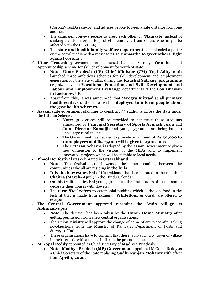(CoronaVirusDisease-19) and advises people to keep a safe distance from one another.

- The campaign conveys people to greet each other by **'Namaste'** instead of shaking hands in order to protect themselves from others who might be affected with the COVID-19.
- The **state and health family welfare department** has uploaded a poster on the social media with a message **"Use Namasthe to greet others, fight against corona".**
- ✓ **Uttar Pradesh** government has launched Kaushal Satrang, Yuva hub and Apprenticeship scheme for skill development for youth of state.
	- **Note: Uttar Pradesh (UP) Chief Minister (CM) Yogi Adityanath** launched three ambitious schemes for skill development and employment generation for the state youths, during the **'Kaushal Satrang' programme** organized by the **Vocational Education and Skill Development and Labour and Employment Exchange** departments at the **Lok Bhawan in Lucknow**, UP.
	- Apart from this, it was announced that **'Arogya Mitras'** at all **primary health centres** of the states will be **deployed to inform people about the govt health schemes.**
- $\checkmark$  **Assam** state government planning to construct 33 stadiums across the state under the Uttaran Scheme**.**
	- **Note:** 300 crores will be provided to construct these stadiums announced by **Principal Secretary of Sports Avinash Joshi** and **Joint Director Kamaljit** and 500 playgrounds are being built to encourage rural talents.
	- The Government has decided to provide an amount of **Rs.50,000 to 1000 players and Rs.75,000** will be given to **2500 clubs**.
	- **The Uttaran Scheme** is adopted by the Assam Government to give a new dimension to the visions of the MLAs and to implement innovative projects which will be suitable to local needs.
- ✓ **Phool Dei festival** was celebrated in **Uttarakhand.**
	- **Note:** The festival also showcases the inner bonding between the communities who all are residing in **the hills.**
	- **It is the harvest** festival of Uttarakhand that is celebrated in the month of **Chaitra (March- April)** in the Hindu Calendar.
	- On this traditional festival young girls pluck the first flowers of the season to decorate their houses with flowers.
	- The **term 'Dei' refers** to ceremonial pudding which is the key food in the festival that is made from **jaggery, Whiteflour & curd**, are offered to everyone.
- ✓ The **Central Government** approved renaming the **Amin village** as **Abhimanyupur.**
	- **Note:** The decision has been taken by the **Union Home Ministry** after getting permission from a few central organisations.
	- The Union Ministry will approve the change of name of any place after taking no-objections from the Ministry of Railways, Department of Posts and Surveys of India.
	- These organisations have to confirm that there is no such city, town or village in their records with a name similar to the proposed one.
- ✓ **M Gopal Reddy** appointed as Chief Secretary of **Madhya Pradesh.**
	- **Note: Madhya Pradesh (MP) Government** appointed M Gopal Reddy as a Chief Secretary of the state replacing **Sudhi Ranjan Mohanty** with effect from **April 1, 2020.**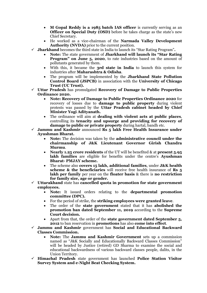- **M Gopal Reddy is a 1985 batch IAS officer** is currently serving as an **Officer on Special Duty (OSD)** before he takes charge as the state's new Chief Secretary.
- He worked as a vice-chairman of the **Narmada Valley Development Authority (NVDA)** prior to the current position.
- ✓ **Jharkhand** becomes the third state in India to launch its "Star Rating Program"**.**
	- **Note:** The state government of **Jharkhand will launch its "Star Rating Program" on June 5, 2020**, to rate industries based on the amount of pollutants generated by them.
	- With this, it became the **3rd state in India** to launch this system for industries after **Maharashtra & Odisha**.
	- The program will be implemented by the **Jharkhand State Pollution Control Board (JSPCB)** in association with the **University of Chicago Trust (UC Trust).**
- ✓ **Uttar Pradesh** has promulgated **Recovery of Damage to Public Properties Ordinance 2020.**
	- **Note: Recovery of Damage to Public Properties Ordinance 2020** for recovery of losses due to **damage to public property** during violent protests was passed by the **Uttar Pradesh cabinet headed by Chief Minister Yogi Adityanath.**
	- The ordinance will aim at **dealing with violent acts at public places**, controlling its **tenacity and upsurge and providing for recovery of damage to public or private property** during hartal, bandh etc.
- ✓ **Jammu and Kashmir** announced **Rs 5 lakh Free Health Insurance under Ayushman Bharat.**
	- **Note:** The decision was taken by the **administrative council under the chairmanship of J&K Lieutenant Governor Girish Chandra Murmu**.
	- **Nearly 1.25 crore residents** of the UT will be benefited & at **present 5.95 lakh families** are eligible for benefits under the centre's **Ayushman Bharat- PMJAY scheme.**
	- The scheme also **covers 15 lakh, additional families**, under **J&K health scheme & the beneficiaries** will receive free health insurance of **Rs 5 lakh per family** per year on the **floater basis** & there is **no restriction for family size, age or gender.**
- ✓ **Uttarakhand** state has **cancelled quota in promotion for state government employees.**
	- **Note:** It issued orders relating to the **departmental promotion committee (DPC).**
	- For the period of strike, the **striking employees were granted leave**.
	- The order of the **state government** stated that it has **abolished the promotion ban dated September 11, 2019** according to the **Supreme Court decision.**
	- Apart from that, the order of the **state government dated September 5, 2012** to ban reservation in **promotions** has also **come into effect**.
- ✓ **Jammu and Kashmir** government has **Social and Educational Backward Classes Commission.**
	- **Note:** The **Jammu and Kashmir Government** sets up a commission named as "J&K Socially and Educationally Backward Classes Commission" will be headed by Justice (retired) GD Sharma to examine the social and educational backwardness of various backward classes people, dalits, in the Union Territory.
- ✓ **Himachal Pradesh** state government has launched **Police Station Visitor Survey System and e-Night Beat Checking System.**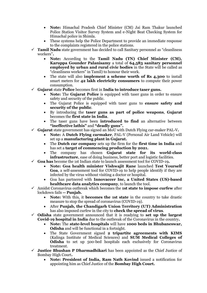- **Note:** Himachal Pradesh Chief Minister (CM) Jai Ram Thakur launched Police Station Visitor Survey System and e-Night Beat Checking System for Himachal police in Shimla.
- These systems help the Police Department to provide an immediate response to the complaints registered in the police stations.
- ✓ **Tamil Nadu** state government has decided to call Sanitary personnel as "cleanliness workers"**.**
	- **Note:** According to the **Tamil Nadu (TN) Chief Minister (CM), Karuppa Gounder Palanisamy** a total of **64,583 sanitary personnel employed by urban and rural civic bodies** in the State will be called as "cleanliness workers" in Tamil) to honour their work.
	- The state will also **implement a scheme worth of Rs 4,300** to install smart meters for **42 lakh electricity consumers** to compute their power consumption.
- ✓ **Gujarat** state **Police** becomes first in **India to introduce taser guns.**
	- **Note:** The **Gujarat Police** is equipped with taser guns in order to ensure safety and security of the public.
	- The Gujarat Police is equipped with taser guns to **ensure safety and security of the public**.
	- By introducing the **taser guns as part of police weapons**, **Gujarat**  becomes the **first state in India**.
	- The taser guns have been **introduced to find** an alternative between **"ineffective lathis"** and **"deadly guns".**
- ✓ **Gujarat** state government has signed an MoU with Dutch Flying car-maker PAL-V**.**
	- **Note:** A **Dutch Flying carmaker**, PAL-V (Personal Air Land Vehicle) will set up a **manufacturing plant in Gujarat.**
	- The **Dutch car company** sets up the firm for the **first time in India** and has set a **target of commencing production by 2021.**
	- The company has chosen **Gujarat state for its world-class infrastructure**, ease of doing business, better port and logistic facilities.
- ✓ **Goa has** become the 1st Indian state to launch assessment tool for COVID-19**.**
	- **Note: Goa health minister Vishwajit Rane** launched **Test Yourself Goa**, a self-assessment tool for COVID-19 to help people identify if they are infected by the virus without visiting a doctor or hospital.
	- Goa has partnered with **Innovaccer Inc, a United States (US)-based healthcare data analytics company**, to launch the tool.
- ✓ Amidst Coronavirus outbreak which becomes the **1st state to impose curfew** after lockdown fails **-- Punjab.**
	- **Note:** With this, it **becomes the 1st state** in the country to take drastic measure to stop the spread of coronavirus (COVID-19).
	- After **Punjab, the Chandigarh Union Territory (UT) Administration** has also imposed curfew in the city to **check the spread of virus**.
- ✓ **Odisha** state government announced that it is readying to **set up the largest Covid-19 hospital in India** due to the outbreak of the Coronavirus in the country**.**
	- **Note:** The **state-level hospitals** will have **1000 beds in Bhubaneswar, Odisha** and will be functional in a fortnight.
	- The State Government signed **2 tripartite agreements with KIMS** (Kalinga Institute of Medical Sciences) and **SUM Medical Colleges of Odisha** to set up 500-bed hospitals each exclusively for Coronavirus treatment.
- ✓ **Justice Bhushan P Dharmadhikari** has been appointed as the Chief Justice of Bombay High Court**.**
	- **Note: President of India, Ram Nath Kovind** issued a notification for appointing him as Chief Justice of the **Bombay High Court.**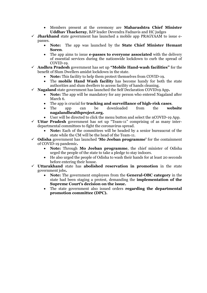- Members present at the ceremony are **Maharashtra Chief Minister Uddhav Thackeray**, BJP leader Devendra Fadnavis and HC judges
- $\checkmark$  **Jharkhand** state government has launched a mobile app PRAGYAAM to issue epasses.
	- **Note:** The app was launched by the **State Chief Minister Hemant Soren**.
	- The app aims to issue **e-passes to everyone associated** with the delivery of essential services during the nationwide lockdown to curb the spread of COVID-19.
- ✓ **Andhra Pradesh** government has set up **"Mobile Hand-wash facilities"** for the benefit of Slum Dwellers amidst lockdown in the state.
	- **Note:** This facility to help them protect themselves from COVID-19.
	- The **mobile Hand Wash facility** has become handy for both the state authorities and slum dwellers to access facility of hands cleaning.
- ✓ **Nagaland** state government has launched the Self Declaration COVID19 App**.**
	- **Note:** The app will be mandatory for any person who entered Nagaland after March 6.
	- The app is crucial for **tracking and surveillance of high-risk cases**.
	- The app can be downloaded from the **website nagalandhealthproject.org.**
	- User will be directed to click the menu button and select the nCOVID-19 App.
- ✓ **Uttar Pradesh** government has set up "Team-11" comprising of as many interdepartmental committees to fight the coronavirus spread.
	- **Note:** Each of the committees will be headed by a senior bureaucrat of the state while the CM will be the head of the Team-11.
- ✓ **Odisha** government has launched **'Mo Jeeban programme'** for the containment of COVID-19 pandemic**.**
	- **Note:** Through **Mo Jeeban programme**, the chief minister of Odisha urged the people of the state to take a pledge to stay indoors.
	- He also urged the people of Odisha to wash their hands for at least 20 seconds before entering their house.
- ✓ **Uttarakhand** state has **abolished reservation in promotion** in the state government jobs**.**
	- **Note:** The government employees from the **General-OBC category** in the state had been staging a protest, demanding the **implementation of the Supreme Court's decision on the issue.**
	- The state government also issued orders **regarding the departmental promotion committee (DPC).**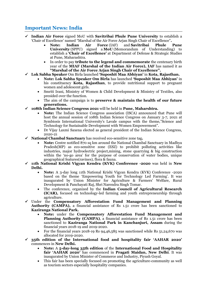### **Important News: India**

- ✓ **Indian Air Force** signed MoU with **Savitribai Phule Pune University** to establish a 'Chair of Excellence' named "Marshal of the Air Force Arjan Singh Chair of Excellence"**.**
	- **Note: Indian Air Force** (IAF) and **Savitribai Phule Pune University** (SPPU) signed a **MoU** (Memorandum of Understanding) to establish a **'Chair of Excellence'** at Department of Defense & Strategic Studies at Pune, Maharashtra.
	- In order to pay **tribute to the legend and commemorate** the centenary birth year of the **MIAF (Marshal of the Indian Air Force), IAF** has named it as **"Marshal of the Air Force Arjan Singh Chair of Excellence".**
- ✓ **Lok Sabha Speaker** Om Birla launched **'Suposhit Maa Abhiyan'** in **Kota, Rajasthan.**
	- **Note: Lok Sabha Speaker Om Birla** has launched **'Suposhit Maa Abhiyan'** in his constituency **Kota, Rajasthan**, to provide nutritional support to pregnant women and adolescent girls.
	- Smriti Irani, Ministry of Women & Child Development & Ministry of Textiles, also presided over the function.
	- The aim of the campaign is to **preserve & maintain the health of our future generations.**
- ✓ **108th Indian Science Congress 2021** will be held in **Pune, Maharshtra.**
	- **Note:** The Indian Science Congress association (ISCA) announced that Pune will host the annual session of 108th Indian Science Congress on January 3-7, 2021 at Symbiosis International University's Lavale campus with the theme,"Science and Technology for Sustainable Development with Women Empowerment".
	- Dr Vijay Laxmi Saxena elected as general president of the Indian Science Congress, 2020-21
- ✓ **National Chambal Sanctuary** has received eco-sensitive zone tag**.**
	- **Note:** Centre notified 870 sq km around the National Chambal Sanctuary in Madhya Pradesh(MP) as eco-sensitive zone (ESZ) to prohibit polluting activities like industries, major hydroelectric project,mining, stone quarrying & big construction within the 'no-go area' for the purpose of conservation of water bodies, unique geographical features(ravines), flora & fauna.
- ✓ **11th National Krishi Vigyan Kendra (KVK) Conference -2020** was held in **New Delhi.**
	- **Note:** A 3-day long 11th National Krishi Vigyan Kendra (KVK) Conference -2020 based on the theme 'Empowering Youth for Technology Led Farming'. It was inaugurated by Union Minister for Agriculture & Farmers' Welfare, Rural Development & Panchayati Raj, Shri Narendra Singh Tomar.
	- The conference, organized by the **Indian Council of Agricultural Research (ICAR),** focused on technology-led farming and youth entrepreneurship through agriculture.
- ✓ Under the **Compensatory Afforestation Fund Management and Planning Authority (CAMPA),** a financial assistance of Rs 1.51 crore has been sanctioned to **Kaziranga National Park.**
	- **Note:** under the **Compensatory Afforestation Fund Management and Planning Authority (CAMPA)**, a financial assistance of Rs 1.51 crore has been sanctioned to **Kaziranga National Park in Kanchanjuri, Assam** during the financial years 2018-19 and 2019-2020.
	- For the financial years 2018-19 Rs 94,46,585 was sanctioned while Rs 51,24,670 was allocated for 2019-2020.
- ✓ **35th edition of the International food and hospitality fair 'AAHAR 2020'** commences in **New Delhi.**
	- **Note:** A **5-day-long 35th edition** of the **International Food and Hospitality fair 'AAHAR 2020'** has commenced in **Pragati Maidan, New Delhi**. It was inaugurated by Union Minister of Commerce and Industry, Piyush Goyal.
	- This fair has been specially focused on promoting the agriculture-community as well as tourism sectors especially hospitality companies.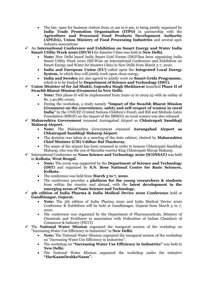- The fair, open for business visitors from 10 am to 6 pm, is being jointly organized by **India Trade Promotion Organisation (ITPO)** in partnership with the **Agriculture and Processed Food Products Development Authority (APEDA), Union Ministry of Food Processing Industries** and several apex industry associations
- ✓ An **International Conference and Exhibition on Smart Energy and Water India Smart Utility Week 2020 (ISUW)** for Smarter Cities was held in **New Delhi.**
	- **Note:** New Delhi based India Smart Grid Forum (ISGF)has been organizing India Smart Utility Week 2020 (ISUW)as an International Conference and Exhibition on Smart Energy and Water for Smarter Cities in New Delhi from March 3-7, 2020.
	- **India and European Union (EU)** called upon the **Integrated Local Energy System,** in which they will jointly work upon clean energy.
	- **India and Sweden** are also agreed to jointly work on **Smart Grids Programme,**  which is to be funded by **Department of Science and Technology (DST).**
- ✓ **Union Minister of for Jal Shakti, Gajendra Singh Shekhawat** launched **Phase II of Swachh Bharat Mission (Grameen) in New Delhi.**
	- **Note:** This phase-II will be implemented from 2020-21 to 2024-25 with an outlay of Rs. 1,40,881 crores.
	- During the workshop, a study namely **"Impact of the Swachh Bharat Mission (Grameen) on the convenience, safety and self-respect of women in rural India"** by the UNICEF (United Nations Children's Fund), and Bill and Melinda Gates Foundation (BMGF) on the impact of the SBM(G) on rural women was also released
- ✓ **Maharashtra Government** renamed Aurangabad Airport as **Chhatrapati Sambhaji Maharaj Airport.**
	- **Note:** The Maharashtra Government renamed **Aurangabad Airport as Chhatrapati Sambhaji Maharaj Airport**.
	- The decision was taken at a meeting of the state cabinet, chaired by **Maharashtra Chief Minister (CM) Uddhav Bal Thackeray.**
	- The name of the airport has been renamed in order to honour Chhatrapati Sambhaji Maharaj, who was the son of Maratha warrior King Chhatrapati Shivaji Maharaj.
- ✓ International Conference on **Nano Science and Technology 2020 (ICONSAT)** was held in **Kolkata, West Bengal.**
	- **Note:** The event was supported by the **Department of Science and Technology (DST)** and organized by **S.N. Bose National Centre for Basic Sciences, Kolkata.**
	- The conference was held from **March 5 to 7, 2020**.
	- The conference provides a **platform for the young researchers & students** from within the country and abroad, with the **latest development in the emerging areas of Nano Science and Technology.**
- ✓ **5th edition of India Pharma & India Medical Device 2020 Conference** held at **Gandhinagar, Gujarat.**
	- **Note:** The 5th edition of India Pharma 2020 and India Medical Device 2020 Conference & Exhibition will be held at Gandhinagar, Gujarat from March 5 to 7, 2020.
	- The conference was organized by the Department of Pharmaceuticals, Ministry of Chemicals and Fertilizers in association with Federation of Indian Chambers of Commerce & Industry (FICCI)
- ✓ The **National Water Mission** organized the inaugural session of the workshop on "Increasing Water Use Efficiency in Industries" in **New Delhi.**
	- **Note:** The National Water Mission organized the inaugural session of the workshop on "Increasing Water Use Efficiency in Industries".
	- The workshop on **"Increasing Water Use Efficiency in Industries"** was held in **New Delhi**.
	- The National Water Mission organized the workshop under the initiative **"HarKaamDeshkeNaam".**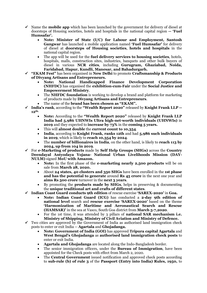- $\checkmark$  Name the **mobile app** which has been launched by the government for delivery of diesel at doorsteps of Housing societies, hotels and hospitals in the national capital region **-- 'Fuel Humsafar'.**
	- **Note: Minister of State (I/C) for Labour and Employment, Santosh Gangwar** has launched a mobile application named **'Fuel Humsafar'** for delivery of diesel at **doorsteps of Housing societies**, **hotels and hospitals** in the national capital region.
	- The app will be used for the **fuel delivery services to housing societies**, hotels, hospitals, malls, construction sites, industries, banquets and other bulk buyers of diesel in various **NCR cities**, including **Gurugram, Ghaziabad, Noida, Faridabad, Hapur, Kundli, Manesar, and Bahadurgarh.**
- ✓ **"EKAM Fest"** has been organised in **New Delhi** to promote **Craftsmanship & Products of Divyang Artisans and Entrepreneurs.**
	- **Note: National Handicapped Finance Development Corporation (NHFDC)** has organised the **exhibition-cum-Fair** under the **Social Justice and Empowerment Ministry**.
	- The **NHFDC foundation** is working to develop a brand and platform for marketing of products made by **Divyang Artisans and Entrepreneurs**.
	- The name of the **brand has been chosen as "EKAM".**
- ✓ **India's rank**, according to the **"Wealth Report 2020"** released by **Knight Frank LLP -- 12th.**
	- **Note:** According to the **"Wealth Report 2020"** released by **Knight Frank LLP India had 5,986 UHNWIs Ultra high-net-worth individuals (UHNWIs)** in **2019** and they expected to **increase by 73%** in the **coming 5 years.**
	- This will **almost double** the **current count to 10,354**.
	- **India**, according to **Knight Frank, ranks 12th** and had **5,986 such individuals in 2019**, which is likely to **reach 10,354 by 2024**.
	- The **number of billionaires in India**, on the other hand, is likely to **reach 113 by 2024, up from 104 in 2019**.
- ✓ For **e-Marketing of products** made by **Self Help Groups (SHGs)** across the **Country Deendayal Antyodaya Yojana- National Urban Livelihoods Mission (DAY-NULM)** signed **MoU with Amazon.**
	- **Note:** In the first phase of the **e-marketing nearly 2,500 products** will be on sale from **March 28, 2020.**
	- About **24 states, 40 clusters and 350 SHGs** have been enrolled in the **1st phase and has the potential to generate** around **Rs 45 crore** in the next one year and **aims Rs 500 crore** turnover in the **next 3 years**.
	- By promoting the **products made by SHGs**, helps in preserving & documenting the **unique traditional art and crafts of different states**.
- ✓ **Indian Coast Guard conducts 9th edition** of rescue exercise **'SAREX-2020'** in **Goa.**
	- **Note: Indian Coast Guard (ICG)** has conducted a **2-day 9th edition of national level** search and **rescue exercise 'SAREX-2020'** based on the theme **'Harmonization of Maritime and Aeronautical Search and Rescue (HAMSAR)'** in the sea at Vasco, South Goa district from **March 5-7,2020**.
	- For the 1st time, it was attended by 3 pillars of **national SAR mechanism i.e. Ministry of Shipping, Ministry of Civil Aviation and Ministry of Defence.**
- $\checkmark$  Two cities are approved by the Government of India as authorised land immigration check posts to enter or exit India -- **Agartala** and **Ghojadanga.**
	- **Note: Government of India (GOI)** has approved **Tripura capital Agartala** and **West Bengal's Ghojadanga** as **authorised land immigration check posts** to enter or exit India.
	- **Agartala and Ghojadanga** are located along the Indo-Bangladesh border.
	- The senior immigration officers, under the **Bureau of Immigration**, have been appointed for the Check posts with effect from March 2, 2020.
	- The **Central Government** issued notification and approved check posts according to **sub-rule (b) of rule 3** of the **Passport (Entry into India) Rules, 1950,** to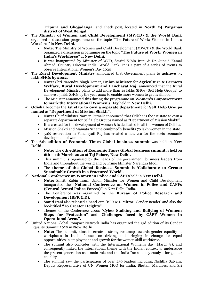**Tripura and Ghojadanga** land check post, located in **North 24 Parganas district of West Bengal.**

- ✓ The **Ministry of Women and Child Development (MWCD) & the World Bank** organized a discussion programme on the topic "The Future of Work: Women in India's Workforce" in **New Delhi.**
	- **Note:** The Ministry of Women and Child Development (MWCD) & the World Bank organized a discussion programme on the topic **"The Future of Work: Women in India's Workforce"** at **New Delhi**.
	- It was inaugurated by Minister of WCD, Smriti Zubin Irani & Dr. Junaid Kamal Ahmad, Country Director India, World Bank. It is a part of a series of events to observe International Women's Day 2020
- ✓ The **Rural Development Ministry** announced that Government plans to **achieve 75 lakh SHGs by 2022.**
	- **Note:** Shri Narendra Singh Tomar, **Union Minister** for **Agriculture & Farmers Welfare, Rural Development and Panchayat Raj,** announced that the Rural Development Ministry plans to add more than 14 lakhs SHGs (Self Help Groups) to achieve 75 lakh SHGs by the year 2022 to enable more women to get livelihood.
	- The Minister announced this during the programme on **Women's Empowerment to mark the International Women's Day** held in **New Delhi.**
- ✓ **Odisha** becomes the **1st state to own a separate department** for **Self Help Groups named** as **"Department of Mission Shakti".**
	- **Note:** Chief Minister Naveen Patnaik announced that Odisha is the 1st state to own a separate department for Self Help Groups named as "Department of Mission Shakti".
	- It is created for the development of women & is dedicated to all the women of Odisha.
	- Mission Shakti and Mamata Scheme combinedly benefits 70 lakh women in the state.
	- 50% reservation in Panchayati Raj has created a new era for the socio-economic development of women.
- ✓ The **6th edition of Economic Times Global business summit** was held in **New Delhi.**
	- **Note:** The **6th edition of Economic Times Global business summit** is held on **6th – 7th March 2020** at **Taj Palace, New Delhi.**
	- This summit is organised by the heads of the government, business leaders from India and throughout the world and by Prime Minister Narendra Modi.
	- The **theme of the Global Business Summit** is **'Collaborate to Create: Sustainable Growth in a Fractured World'.**
- ✓ **National Conference on Women in Police and CAPFs** held in **New Delhi.**
	- **Note:** Smriti Zubin Irani, Union Minister for Women and Child Development inaugurated the **"National Conference on Women in Police and CAPFs (Central Armed Police Forces)"** in New Delhi, India.
	- The Conference was organized by the **Bureau of Police Research and Development (BPR & D)**.
	- Smriti Irani also released a hand-out- 'BPR & D Mirror- Gender Bender' and also the book titled **"To Greater Heights".**
	- Themes of the Conference 2020: **'Cyber Stalking and Bullying of Women: Steps for Protection"** and **'Challenges faced by CAPF Women in Operational Areas".**
- $\checkmark$  United Nations Global Compact Network India has organized the 3rd edition of its Gender Equality Summit 2020 in **New Delhi.**
	- **Note:** The summit, aims to create a strong roadmap towards gender equality at workplaces in India, focuses on driving and bringing in change for equal opportunities in employment and growth for the women skill workforce.
	- The summit also coincides with the International Women's day (March 8), and consequently linked the international theme with the Indian context to underscore the present generation as a main role and the India Inc as a key catalyst for gender equality.
	- The summit saw the participation of over 250 leaders including Nishtha Satyam, Deputy Representative of UN Women MCO for India, Bhutan, Maldives, and Sri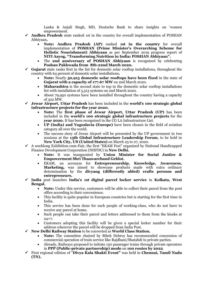Lanka & Anjali Singh, MD, Deutsche Bank to share insights on 'women empowerment.

- ✓ **Andhra Pradesh** state ranked 1st in the country for overall implementation of POSHAN Abhiyaan**.**
	- **Note: Andhra Pradesh (AP)** ranked **1st in the country** for overall implementation of **POSHAN (Prime Minister's Overarching Scheme for Holistic Nourishment) Abhiyaan** as per September 2019 progress report of **NITI Aayog, "Transforming Nutrition in India: POSHAN Abhiyaan".**
	- The **2nd anniversary of POSHAN Abhiyaan** is recognized by celebrating **Poshan Pakhwada from 8th-22nd March 2020.**
- ✓ **Gujarat** state ranks first in the list for domestic solar rooftop installations, throughout the country with 64 percent of domestic solar installations**.**
	- **Note:** Nearly **50,915 domestic solar rooftops have been fixed** in the state of **Gujarat with a capacity of 177.67 MW** on 2nd March 2020.
	- **Maharashtra** is the second state to top in the domestic solar rooftop installations list with installation of 5,513 systems on 2nd March 2020.
	- About 79,950 systems have been installed throughout the country having a capacity of 322 MW.
- ✓ **Jewar Airport, Uttar Pradesh** has been included in the **world's 100 strategic global infrastructure projects for the year 2020.**
	- **Note:** The **first phase of Jewar Airport, Uttar Pradesh (UP)** has been included in the **world's 100 strategic global infrastructure projects** for the **year 2020.** It has been recognised in the CG LA Infrastructure List.
	- **UP (India) and Yugoslavia (Europe)** have been chosen in the field of aviation category all over the world.
	- The success story of Jewar Airport will be presented by the UP government in two sessions at the **13th Global Infrastructure Leadership Forum**, to be held in **New York City, US (United States)** on March 25 to 27, 2020.
- ✓ A weeklong Exhibition-cum-Fair, the first "EKAM Fest" organized by National Handicapped Finance Development Corporation (NHFDC) in **New Delhi.**
	- **Note:** It was inaugurated by **Union Minister for Social Justice & Empowerment Shri Thaawarchand Gehlot.**
	- EKAM, an acronym for **Entrepreneurship, Knowledge, Awareness,**  Marketing, was aimed to showcase products made with extra ordinary determination by the **divyang (differently abled) crafts persons and entrepreneurs.**
- ✓ **India** post launches **India's 1st digital parcel locker service** in **Kolkata, West Bengal.**
	- **Note:** Under this service, customers will be able to collect their parcel from the post office according to their convenience.
	- This facility is quite popular in European countries but is starting for the first time in India.
	- This service has been done for such people of working-class, who do not have to receive any parcel at home.
	- Such people can take their parcel and letters addressed to them from the kiosks at 24×7.
	- Customers adopting this facility will be given a special locker number for their address wherever the parcel will be dropped from India Post.
- ✓ **New Delhi Railway Station** to be converted as **World Class Station.**
	- **Note:** The committee chaired by Bibek Debroy has recommended concession of commercial operation of train service like Rajdhani/Shatabdi to private parties.
	- Already, Railways proposed to initiate 150 passenger trains through private operators in **PPP (Public-private partnership) mode** on **100 routes by 2022**.
- ✓ First regional edition of "**Divya Kala Shakti Event"** was held in **Chennai, Tamil Nadu (TN).**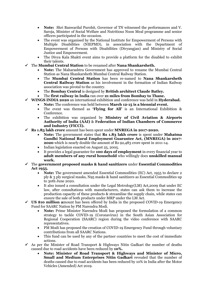- **Note:** Shri Banwarilal Purohit, Governor of TN witnessed the performances and V. Saroja, Minister of Social Welfare and Nutritious Noon Meal programme and senior officers participated in the occasion.
- The event was organised by the National Institute for Empowerment of Persons with Multiple Disabilities (NIEPMD), in association with the Department of Empowerment of Persons with Disabilities (Divyangjan) and Ministry of Social Justice and Empowerment.
- The Divya Kala Shakti event aims to provide a platform for the disabled to exhibit their talents.
- ✓ The **Mumbai Central Station** to be renamed after **Nana Shankarsheth.**
	- **Note:** The Maharashtra Government has approved to rename the Mumbai Central Station as Nana Shankarsheth Mumbai Central Railway Station.
	- The **Mumbai Central Station** has been re-named to **Nana Shankarsheth Central Railway Station** as his involvement in the formation of Indian Railway association was pivotal to the country.
	- The **Bombay Central** is designed by **British architect Claude Batley.**
	- The **first railway in India** ran over **21 miles from Bombay to Thane.**
- ✓ **WINGS INDIA 2020** an international exhibition and conference was held in **Hyderabad.**
	- **Note:** The conference was held between **March 12-15 is a biennial event.**
	- The event was themed as **'Flying for All'** is an International Exhibition & Conference.
	- The exhibition was organized by **Ministry of Civil Aviation & Airports Authority of India (AAI)** & **Federation of Indian Chambers of Commerce and Industry (FICCI).**
- ✓ **Rs 1.83 lakh crore** amount has been spent under **MNREGA in 2017-2020.**
	- **Note:** The government states that **Rs 1.83 lakh crore** is spent under **Mahatma Gandhi National Rural Employment Guarantee Act, (MNREGA) in 2017- 2020** which is nearly double the amount of Rs 92,483 crore spent in 2011-14.
	- Indian legislation enacted on August 25, 2005.
	- It provides a legal guarantee for **100 days of employment** in every financial year to **adult members of any rural household** who willingly does **unskilled manual work.**
- ✓ The **government proposed masks & hand sanitizers** under **Essential Commodities Act 1955.**
	- **Note:** The government amended Essential Commodities (EC) Act, 1955 to declare 2 ply & 3 ply surgical masks, N95 masks & hand sanitizers as Essential Commodities up to 30th June 2020.
	- It also issued a consultation under the Legal Metrology(LM) Act,2009 that under EC law, after consultations with manufacturers, states can ask them to increase the production capacity of these products & streamline the supply chain, while states can ensure the sale of both products under MRP under the LM Act.
- ✓ **US \$10 million a**mount has been offered by India in the proposed COVID-19 Emergency Fund for SAARC Nation by PM Narendra Modi.
	- **Note:** Prime Minister Narendra Modi has proposed the formulation of a common strategy to tackle COVID-19 (Coronavirus) in the South Asian Association for Regional Cooperation (SAARC) region during the video conference with SAARC representatives.
	- PM Modi has proposed the creation of COVID-19 Emergency Fund through voluntary contributions from all SAARC Nations.
	- This fund can be used by any of the partner countries to meet the cost of immediate actions.
- $\checkmark$  As per the Minister of Road Transport & Highways Nitin Gadkari the number of deaths caused due to road accidents have been reduced by **10%.**
	- **Note: Minister of Road Transport & Highways and Minister of Micro, Small and Medium Enterprises Nitin Gadkari** revealed that the number of deaths caused due to road accidents has been reduced by 10% in India after the Motor Vehicles (Amended) Act 2019.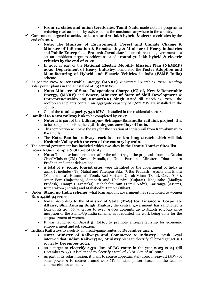- **From 12 states and union territories, Tamil Nadu** made notable progress in reducing road accidents by 24% which is the maximum anywhere in the country.
- ✓ Government targeted to achieve sales **around 70 lakh hybrid & electric vehicles** by the end of **2020.**
	- **Note:** The **Minister of Environment, Forest and Climate Change & Minister of Information & Broadcasting & Minister of Heavy industries** and **Public Enterprises Prakash Javadekar** informed that the government has set an ambitious target to achieve sales of **around 70 lakh hybrid & electric vehicles by the end of 2020.**
	- In 2015 as part of the **National Electric Mobility Mission Plan (NEMMP) 2020**, **Department of Heavy Industry** formulated the **Faster Adoption and Manufacturing of Hybrid and Electric Vehicles** in India (**FAME India)** scheme.
- ✓ As per the **New & Renewable Energy, (MNRE)** Ministry till March 13, 2020, Rooftop solar power plants in India installed at **1,922 MW.**
	- **Note: Minister of State Independent Charge (IC) of, New & Renewable Energy, (MNRE)** and **Power, Minister of State of Skill Development & Entrepreneurship Raj Kumar(RK) Singh** stated till March 13, 2020, the rooftop solar plants contain an aggregate capacity of 1,922 MW are installed in the country.
	- Out of the **total capacity, 346 MW** is installed in the residential sector.
- ✓ **Banihal to Katra railway link** to be completed by **2022.**
	- **Note:** It is part of the **Udhampur- Srinagar-Baramulla rail link project**. It is to be completed before the **75th Independence Day of India**.
	- This completion will pave the way for the creation of Indian rail from Kanyakumari to Baramulla.
	- The **Katra-Banihal railway track** is a **111-km long stretch** which will link **Kashmir Valley with the rest of the country by train**.
- ✓ The central government has included which two sites in the **Iconic Tourist Sites list -- Konark Sun Temple & Statue of Unity.**
	- **Note:** The move has been taken after the ministry got the proposals from the Odisha Chief Minister (CM)- Naveen Patnaik, the Union Petroleum Minister – Dharmendra Pradhan and other delegations.
	- A total of **17 iconic tourist sites** were identified by the government of India in 2019. It includes- Taj Mahal and Fatehpur Sikri (Uttar Pradesh), Ajanta and Ellora (Maharashtra), Humayun's Tomb, Red Fort and Qutub Minar (Delhi), Colva (Goa), Amer Fort (Rajasthan), Somnath and Dholavira (Gujarat), Khajuraho (Madhya Pradesh), Hampi (Karnataka), Mahabalipuram (Tamil Nadu), Kaziranga (Assam), Kumarakom (Kerala) and Mahabodhi Temple (Bihar).
- ✓ Under **'Stand up India scheme'** what loan amount government has sanctioned to women **Rs 20,466.94 crore.** 
	- **Note:** According to the **Minister of State (MoS) for Finance & Corporate Affairs, Shri Anurag Singh Thakur,** the central government has sanctioned a loan of Rs 20,466.94 crores to over 91,000 accounts up to March 10,2020 since inception of the Stand-Up India scheme, as it counted the work being done for the empowerment of women.
	- It was launched on **April 5, 2016,** to promote entrepreneurship for economic empowerment and job creation.
- ✓ **Indian Railways** to electrify all broad-gauge routes by **December 2023.**
	- **Note: Minister of Railways and Commerce & Industry**, Piyush Goyal informed that **Indian Railway(IR) Ministry** plans to electrify all broad gauge(BG) routes by **December 2023**.
	- As a target to **electrify 4,310 km of BG route** in the year **2023-2024** (till December 2023), it is planned to electrify a total of 28,810 km of BG route.
	- As part of its solar mission, it plans to source approximately 1000 megawatt (MW) of solar power & to source around 200 MV of wind power, based on the technocommercial assessment.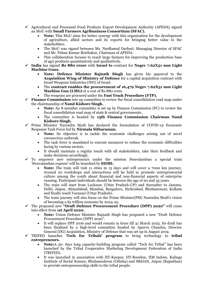- $\checkmark$  Agricultural and Processed Food Products Export Development Authority (APEDA) signed an MoU with **Small Farmers Agribusiness Consortium (SFAC).**
	- **Note:** This MoU aims for better synergy with this organization for the development of agriculture, allied sectors and its exports for bringing better value to the stakeholders.
	- The MoU was signed between Ms. Neelkamal Darbari, Managing Director of SFAC and Mr. Paban Kumar Borthakur, Chairman of APEDA.
	- This collaboration focuses to reach large farmers for improving the production base of agri products quantitatively and qualitatively.
- ✓ **India** has signed **Rs 880 crore** with **Israel to** contract for **Negev 7.62X51 mm Light Machine Guns.**
	- **Note: Defence Minister Rajnath Singh** has given his approval to the **Acquisition Wing of Ministry of Defence** for a capital acquisition contract with Israel Weapons Industries (IWI) of Israel.
	- The **contract enables the procurement of 16,479 Negev 7.62X51 mm Light Machine Gun (LMG)** at a cost of Rs 880 crore.
	- The weapons are procured under the **Fast Track Procedure (FTP).**
- ✓ **Finance Commission** sets up committee to review the fiscal consolidation road map under the chairmanship of **Nand Kishore Singh.**
	- **Note:** An 8-member committee is set up by Finance Commission (FC) to review the fiscal consolidation road map of state & central governments.
	- The committee is headed by **15th Finance Commission Chairman Nand Kishore Singh.**
- ✓ Prime Minister Narendra Modi has declared the formulation of COVID-19 Economic Response Task Force led by **Nirmala Sitharaman.**
	- **Note:** Its objective is to tackle the economic challenges arising out of novel coronavirus outbreak.
	- The task force is mandated to execute measures to reduce the economic difficulties facing by various sectors.
	- It should maintain a regular touch with all stakeholders, take their feedback and make decisions accordingly.
- ✓ To empower new entrepreneurs under the mission Swavalamban a special train 'Swavalamban express' will be launched by **SIDBI.**
	- **Note:** The train will visit 11 cities in 15 days and will cover a 7000 km journey. Around 20 workshops and interactions will be held to promote entrepreneurial culture among the youth about financial and non-financial aspects of enterprise running. Participant individuals should be between the age of 20 and 35 years.
	- The train will start from Lucknow (Uttar Pradesh-UP) and thereafter to Jammu, Delhi, Jaipur, Ahmedabad, Mumbai, Bengaluru, Hyderabad, Bhubaneswar, Kolkata and finally reach Varanasi (Uttar Pradesh).
	- The train journey will also focus on the Prime Minister(PM) Narendra Modi's vision of becoming a \$5 trillion economy by 2024-25.
- ✓ The proposed new **"Draft Defence Procurement Procedure (DPP) 2020"** will come into effect from **1st April 2020.**
	- **Note:** Union Defence Minister Rajnath Singh has proposed a new "Draft Defence Procurement Procedure (DPP) 2020".
	- It will replace DPP 2016 and would remain in force till 31 March 2025. Its draft has been finalized by a high-level committee headed by Apurva Chandra, Director General (DG) Acquisition, Ministry of Defence that was set up in August 2019.
- ✓ TRIFED launches **'Tech for Tribals' program** to bring technology to **tribal entrepreneurs.**
	- **Note:**A 30- days long capacity-building program called "Tech for Tribal" has been launched by the Tribal Cooperative Marketing Development Federation of India (TRIFED).
	- It was launched in association with IIT-Kanpur, IIT-Roorkee, IIM Indore, Kalinga Institute of Social Science, Bhubaneshwar (Odisha) and SRIJAN, Jaipur (Rajasthan) to provide entrepreneurship skills to the tribal people.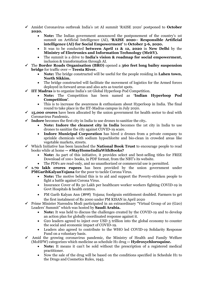- ✓ Amidst Coronavirus outbreak India's 1st AI summit 'RAISE 2020' postponed to **October 2020.**
	- **Note:** The Indian government announced the postponement of the country's 1st summit on Artificial Intelligence (AI), **'RAISE 2020– Responsible Artificial intelligence (AI) for Social Empowerment'** to **October 5-6, 2020.**
	- It was to be conducted **between April 11 & 12, 2020** in **New Delhi** by the **Ministry of Electronics and Information Technology (MeitY).**
	- The summit is a drive to **India's vision & roadmap for social empowerment,** inclusion & transformation through AI.
- ✓ The **Border Roads Organisation (BRO)** opened a **360 feet long bailey suspension bridge** for traffic over **-- Teesta River.**
	- **Note:** The bridge constructed will be useful for the people residing in **Lahen town, North Sikkim.**
	- The bridge constructed will facilitate the movement of logistics for the Armed forces deployed in forward areas and also acts as tourist spots.
- ✓ **IIT Madras** is to organize India's 1st Global Hyperloop Pod Competition.
	- **Note:** The Competition has been named as **'Indian Hyperloop Pod Competition'**.
	- This is to increase the awareness & enthusiasm about Hyperloop in India. The final round to take place in the IIT-Madras campus in July 2020.
- $\checkmark$  **15,000 crores** have been allocated by the union government for health sector to deal with Coronavirus Pandemic**.**
- ✓ **Indore** becomes the first city in India to use drones to sanitize the city**.**
	- **Note: Indore the cleanest city in India** becomes the 1st city in India to use drones to sanitize the city against COVID-19 scare.
	- **Indore Municipal Corporation** has hired 2 drones from a private company to sprinkle chemicals with sodium hypochlorite and bio-clean in crowded areas like vegetable markets, streets.
- ✓ Which Initiative has been launched the **National Book Trust** to encourage people to read books while at home **-- #StayHomeIndiaWithBooks?**
	- **Note:** As part of this initiative, it provides select and best-selling titles for FREE Download of 100+ books, in PDF format, from the NBT's its website.
	- The PDFs are read-only, and no unauthorized or commercial use is permitted.
- **1.70 lakh crores rupees** has been provided by the union government under **PMGaribKalyanYojana** for the poor to tackle Corona Virus.
	- **Note:** The motive behind this is to aid and support the Poverty-stricken people to fight a battle against Corona Virus.
	- Insurance Cover of Rs 50 Lakh per healthcare worker workers fighting COVID-19 in Govt Hospitals & health centres.
	- PM Garib Kalyan Ann (अन्न) Yojana; foodgrain entitlement doubled. Farmers to get the first instalment of Rs 2000 under PM KISAN in April 2020
- $\checkmark$  Prime Minister Narendra Modi participated in an extraordinary "Virtual Group of 20 (G20) Leaders' Summit" which was hosted by **Saudi Arabia.**
	- **Note:** It was held to discuss the challenges created by the COVID-19 and to develop an action plan for globally coordinated response against it.
	- G20 leaders agreed to inject over USD 5 trillion into the global economy to counter the social and economic impact of COVID-19.
	- Leaders also agreed to contribute to the WHO led COVID-19 Solidarity Response Fund on a voluntary basis.
- Amid the growing coronavirus pandemic, the Ministry of Health and Family Welfare (MoHFW) categorizes which medicine as schedule H1 drug **-- Hydroxychloroquine.**
	- **Note:** It means it can't be sold without the prescription of a registered medical practitioner.
	- Now the sale of the drug will be based on the conditions specified in Schedule H1 to the Drugs and Cosmetics Rules, 1945.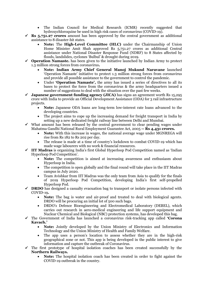- The Indian Council for Medical Research (ICMR) recently suggested that hydroxychloroquine be used in high risk cases of coronavirus (COVID-19).
- $\checkmark$  **Rs** 5,751.27 crores amount has been approved by the central government as additional assistance to 8 disaster-hit states.
	- **Note:** The **High-Level Committee (HLC)** under the Chairmanship of Union Home Minister Amit Shah approved Rs 5,751.27 crores as additional Central assistance under National Disaster Response Fund (NDRF) to 8 States affected by floods, landslides, cyclones 'Bulbul' & drought during 2019.
- ✓ **Operation Namaste.** has been given to the initiative launched by Indian Army to protect 1.3 million strong forces from coronavirus**.**
	- **Note: Indian Army Chief General Manoj Mukund Naravane** launched 'Operation Namaste' initiative to protect 1.3 million strong forces from coronavirus and provide all possible assistance to the government to control the pandemic.
	- Under **'Operation Namaste',** the army has issued a series of directives to all its bases to protect the force from the coronavirus & the army headquarters issued a number of suggestions to deal with the situation over the past few weeks.
- $\checkmark$  **Japanese government funding agency (JICA)** has signs an agreement worth Rs 15,295 crore with India to provide an Official Development Assistance (ODA) for 3 rail infrastructure projects.
	- **Note:** Japanese ODA loans are long-term low-interest rate loans advanced to the developing countries.
	- The project aims to cope up the increasing demand for freight transport in India by setting up a new dedicated freight railway line between Delhi and Mumbai.
- $\checkmark$  What amount has been released by the central government to clear pending wages under Mahatma Gandhi National Rural Employment Guarantee Act, 2005 **-- Rs 4,431 crores.**
	- **Note:** With this increase in wages, the national average wage under MGNREGA will rise from Rs 182 to Rs 202 per day.
	- The release is made at a time of country's lockdown to combat COVID-19 which has made wage labourers with no work & financial resources.
- ✓ **IIT Madras** is organizing India's first Global Hyperloop Pod Competition named as 'Indian Hyperloop Pod Competition'.
	- **Note:** The competition is aimed at increasing awareness and enthusiasm about Hyperloop in India.
	- The competition is open globally and the final round will take place in the IIT Madras campus in July 2020.
	- Team Avishkar from IIT Madras was the only team from Asia to qualify for the finals of 2019 Hyperloop Pod Competition, developing India's first self-propelled Hyperloop Pod.
- ✓ **DRDO** has designed a casualty evacuation bag to transport or isolate persons infected with COVID-19**.**
	- **Note:** The bag is water and air-proof and treated to deal with biological agents. DRDO will be procuring an initial lot of 500 such bags.
	- DRDO's Defence Bioengineering and Electromedical Laboratory (DEBEL), which carries out research in aero-medical engineering and life support equipment and Nuclear Chemical and Biological (NBC) protection systems, has developed this bag.
- ✓ The Government of India has launched a coronavirus risk-tracking app called **'Corona Kavach.'**
	- **Note:** Jointly developed by the Union Ministry of Electronics and Information Technology and the Union Ministry of Health and Family Welfare.
	- The app uses a person's location to assess whether they are in the high-risk geographical zone or not. This app is being developed in the public interest to give information and capture the outbreak of Coronavirus.
- $\checkmark$  The first prototype of hospital isolation coaches has been created successfully by the **Northern Railways.**
	- **Note:** The hospital isolation coach has been created in order to fight against the COVID-19 outbreak in the country.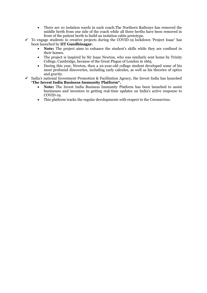- There are 10 isolation wards in each coach.The Northern Railways has removed the middle berth from one side of the coach while all three berths have been removed in front of the patient berth to build an isolation cabin prototype.
- $\checkmark$  To engage students in creative projects during the COVID-19 lockdown 'Project Isaac' has been launched by **IIT Gandhinagar.**
	- **Note:** The project aims to enhance the student's skills while they are confined in their homes.
	- The project is inspired by Sir Isaac Newton, who was similarly sent home by Trinity College, Cambridge, because of the Great Plague of London in 1665.
	- During this year, Newton, then a 22-year-old college student developed some of his most profound discoveries, including early calculus, as well as his theories of optics and gravity.
- $\checkmark$  India's national Investment Promotion & Facilitation Agency, the Invest India has launched **'The Invest India Business Immunity Platform".**
	- **Note:** The Invest India Business Immunity Platform has been launched to assist businesses and investors in getting real-time updates on India's active response to COVID-19.
	- This platform tracks the regular developments with respect to the Coronavirus.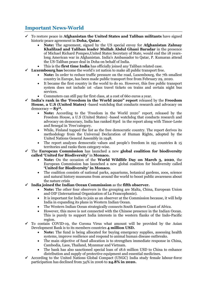# **Important News-World**

- ✓ To restore peace in **Afghanistan the United States and Taliban militants** have signed historic peace agreement in **Doha, Qatar.**
	- **Note:** The agreement, signed by the US special envoy for **Afghanistan Zalmay Khalilzad and Taliban leader Mullah Abdul Ghani Baradar** in the presence of Michael Richard Pompeo,United States Secretary of State, would end the 18 yearslong American war in Afghanistan. India's Ambassador to Qatar, P. Kumaran attend the US-Taliban peace deal in Doha on behalf of India.
	- This is the **first time India** has officially joined any Taliban related case.
- ✓ **Luxembourg has** become the world's 1st nation to make all public transport free.
	- **Note:** In order to reduce traffic pressure on the road, Luxembourg, the 7th smallest country in Europe, has been made public transport free from February 29, 2020.
	- It became the first country in the world to do so. However, this free public transport system does not include 1st -class travel tickets on trains and certain night bus services.
	- Commuters can still pay for first class, at a cost of 660 euros a year.
- ✓ **India's rank in the 'Freedom in the World 2020" report** released by the **Freedom House, a U.S (United States)** -based watchdog that conducts research and advocacy on democracy **-- 83rd.**
	- **Note:** According to the 'Freedom in the World 2020" report, released by the Freedom House, a U.S (United States) -based watchdog that conducts research and advocacy on democracy, India has ranked 83rd in the report along with Timor-Leste and Senegal in 'Free'category.
	- While, Finland topped the list as the free democratic country. The report derives its methodology from the Universal Declaration of Human Rights, adopted by the United Nations General Assembly in 1948.
	- The report analyzes democratic values and people's freedom in 195 countries & 15 territories and ranks them category-wise.
- ✓ The **European Commission** has launched a new **global coalition for biodiversity called 'United for Biodiversity'** in **Monaco.**
	- **Note:** On the occasion of the **World Wildlife Day on March 3, 2020**, the European Commission has launched a new global coalition for biodiversity called **'United for Biodiversity' in Monaco**.
	- The coalition consists of national parks, aquariums, botanical gardens, zoos, science and natural history museums from around the world to boost public awareness about the nature crisis
- ✓ **India joined the Indian Ocean Commission** as the **fifth observer.**
	- **Note:** The other four observers in the grouping are Malta, China, European Union and OIF (International Organization of La Francophonie).
	- It is important for India to join as an observer at the Commission because, it will help India in expanding its plans in Western Indian Ocean.
	- The Western Indian Ocean strategically connects South Eastern Coast of Africa.
	- However, this move is not connected with the Chinese presence in the Indian Ocean. This is purely to support India interests in the western flanks of the Indo-Pacific region.
- $\checkmark$  To contain COVID-19, the Corona Virus what amount will be provided by the Asian Development Bank is to its members countries **4 million USD.**
	- **Note:** The fund is being allocated for buying emergency supplies, assessing health systems, improve resilience and respond to animal human disease outbreaks.
	- The main objective of fund allocation is to strengthen immediate response in China, Cambodia, Laos, Thailand, Myanmar and Vietnam.
	- The bank has also sanctioned special loan of 18.6 million USD to China to enhance distribution and supply of protective equipment and essential medicines.
- $\checkmark$  According to the United Nations Global Compact (UNGC) India study female labour-force participation has declined from 34% in 2006 to **24.8% in 2020.**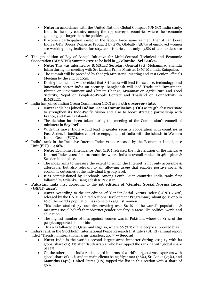- **Note:** In accordance with the United Nations Global Compact (UNGC) India study, India is the only country among the 153 surveyed countries where the economic gender gap is larger than the political gap.
- If women participation raised in the labour force same as men, then it can boost India's GDP (Gross Domestic Product) by 27%. Globally, 38.7% of employed women are working in agriculture, forestry, and fisheries, but only 13.8% of landholders are women.
- ✓ The 5th edition of Bay of Bengal Initiative for Multi-Sectoral Technical and Economic Cooperation (BIMSTEC) Summit 2020 to be held in **\_Colombo, Sri Lanka.**
	- **Note:** This was informed by BIMSTEC Secretary General (SG) Mohammad Shahidu Islam during his meeting with Sri Lankan Prime Minister (PM) Mahinda Rajapaksa.
	- The summit will be preceded by the 17th Ministerial Meeting and 21st Senior Officials Meeting by the end of 2020.
	- During the meet, it was decided that Sri Lanka will lead the science, technology, and innovation sector India on security, Bangladesh will lead Trade and Investment, Bhutan on Environment and Climate Change, Myanmar on Agriculture and Food Security, Nepal on People-to-People Contact and Thailand on Connectivity in BIMSTEC.
- ✓ India has joined Indian Ocean Commission (IOC) as its **5th observer state.**
	- **Note:** India has joined **Indian Ocean Commission (IOC)** as its 5th observer state to strengthen its Indo-Pacific vision and also to boost strategic partnership with France, and Vanilla Islands.
	- The decision has been taken during the meeting of the Commission's council of ministers in **Seychell**.
	- With this move, India would lead to greater security cooperation with countries in East Africa. It facilitates collective engagement of India with the islands in Western Indian Ocean (WIO).
- $\checkmark$  India's rank in the Inclusive Internet Index 2020, released by the Economist Intelligence Unit (EIU) **-- 46th.**
	- **Note:** Economist Intelligence Unit (EIU) released the 4th iteration of the Inclusive Internet Index 2020 for 100 countries where India is overall ranked in 46th place & Sweden in 1st place.
	- The index aims to measure the extent to which the Internet is not only accessible  $\&$ affordable, but also relevant to all, allowing usage that enables positive social & economic outcomes at the individual & group level.
	- It is commissioned by Facebook. Among South Asian countries India ranks first followed by Srilanka, Bangladesh & Pakistan.
- ✓ **Pakistan** ranks first according to the **1st edition of 'Gender Social Norms Index (GSNI) 2020'.**
	- **Note:** According to the 1st edition of 'Gender Social Norms Index (GSNI) 2020', released by the UNDP (United Nations Development Programme), about 90 % or 9 in 10 of the world's population has some bias against women.
	- This index studied 75 countries covering over 80 % of the world's population & measures social beliefs that obstruct gender equality in areas like politics, work, and education.
	- The highest number of bias against women was in Pakistan, where 99.81 % of the people supported similar bias.
		- This was followed by Qatar and Nigeria, where 99.73 % of the people supported bias.

 $\checkmark$  India's rank in the Stockholm International Peace Research Institute's (SIPRI) annual report titled "Trends in international arms transfers, 2019" **-- Second.**

- **Note:** India is the world's second largest arms importer during 2015-19 with its global share of 9.2% after Saudi Arabia, who has topped the ranking with global share of 12%.
- On the other hand, India ranked 23rd in terms of world's largest arms exporters with global share of 0.2% and its main clients being Myanmar (46%), Sri Lanka (25%), and Mauritius (14%). United States (US) topped the list in this section with a share of 36%.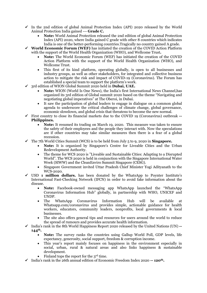- $\checkmark$  In the 2nd edition of global Animal Protection Index (API) 2020 released by the World Animal Protection India gained --- **Grade C.**
	- **Note:** World Animal Protection released the 2nd edition of global Animal Protection Index (API) 2020, where India gained C grade with other 8 countries which indicates India is one of the better-performing countries.Tragically no country gained A grade.
- ✓ **World Economic Forum (WEF)** has initiated the creation of the COVID Action Platform with the support of the World Health Organization (WHO), and Wellcome Trust**.**
	- **Note:** The World Economic Forum (WEF) has initiated the creation of the COVID Action Platform with the support of the World Health Organization (WHO), and Wellcome Trust.
	- This first of its kind platform, operating globally, is open to all businesses and industry groups, as well as other stakeholders, for integrated and collective business action to mitigate the risk and impact of COVID-19 (Coronavirus). The Forum has established a special team to support the platform's work.
- ✓ 3rd edition of WION Global Summit 2020 held in **Dubai, UAE.**
	- **Note:** WION (World Is One News), the India's first International News Channel,has organized its 3rd edition of Global summit 2020 based on the theme "Navigating and negotiating global imperatives" at The Oberoi, in Dubai.
	- It saw the participation of global leaders to engage in dialogue on a common global agenda to underscore the critical challenges of climate change, global governance, economic slowdown, and global crisis that threatens to become the new normal.
- ✓ First country to close its financial markets due to the COVID 19 (Coronavirus) outbreak **-- Philippines.**
	- **Note:** It resumed its trading on March 19, 2020. This measure was taken to ensure the safety of their employees and the people they interact with. Now the speculations are if other countries may take similar measures then there is a fear of a global recession.
- $\checkmark$  The 7th World Cities Summit (WCS) is to be held from July 5 to 9, 2020 in **Singapore.** 
	- **Note:** It is organized by Singapore's Centre for Liveable Cities and the Urban Redevelopment Authority.
	- The theme for WCS 2020 is "Liveable and Sustainable Cities: Adapting to a Disrupted World". The WCS 2020 is held in conjunction with the Singapore International Water Week (SIWW) and the CleanEnviro Summit Singapore (CESG).
	- Singapore Government invited Uttar Pradesh Chief Minister Yogi Adityanath to the WCS-2020.
- USD **1 million dollars.** has been donated by the WhatsApp to Poynter Institute's International Fast-Checking Network (IFCN) in order to avoid fake information about the disease.
	- **Note:** Facebook-owned messaging app WhatsApp launched the "WhatsApp Coronavirus Information Hub" globally, in partnership with WHO, UNICEF and UNDP.
	- The WhatsApp Coronavirus Information Hub will be available at Whatsapp.com/coronavirus and provides simple, actionable guidance for health workers, educators, community leaders, nonprofits, local governments & local businesses.
	- The site also offers general tips and resources for users around the world to reduce the spread of rumours and provides accurate health information.
- ✓ India's rank in the 8th World Happiness Report 2020 released by the United Nations (UN) **-- 144th.**
	- **Note:** The survey ranks the countries using Gallup World Poll, GDP levels, life expectancy, generosity, social support, freedom & corruption income.
	- This year's report mainly focuses on happiness in the environment especially in social, urban, rural & natural areas and also links happiness & sustainable development.
	- Finland tops the report for the 3<sup>rd</sup> time.
- ✓ India's rank in the 26th annual edition of Economic Freedom Index 2020 **-- 120th.**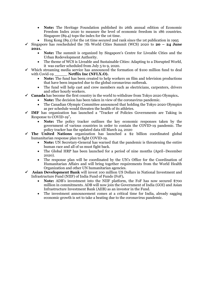- **Note:** The Heritage Foundation published its 26th annual edition of Economic Freedom Index 2020 to measure the level of economic freedom in 186 countries. Singapore (89.4) tops the index for the 1st time.
- Hong Kong (89.1) for the 1st time secured 2nd rank since the 1st publication in 1995
- ✓ Singapore has rescheduled the 7th World Cities Summit (WCS) 2020 to **20 – 24 June 2021.**
	- **Note:** The summit is organized by Singapore's Centre for Liveable Cities and the Urban Redevelopment Authority.
	- The theme of WCS is Liveable and Sustainable Cities: Adapting to a Disrupted World, it was earlier scheduled from July 5 to 9, 2020.
- $\checkmark$  Which streaming media service has announced the formation of \$100 million fund to deal with Covid-19 **Netflix Inc (NFLX.O).** 
	- **Note:** The fund has been created to help workers on film and television productions that have been impacted due to the global coronavirus outbreak.
	- The fund will help cast and crew members such as electricians, carpenters, drivers and other hourly workers.
- ✓ **Canada** has become the first country in the world to withdraw from Tokyo 2020 Olympics**.**
	- **Note:** The decision has been taken in view of the coronavirus pandemic.
	- The Canadian Olympic Committee announced that holding the Tokyo 2020 Olympics as per schedule would threaten the health of its athletes.
- ✓ **IMF** has organization has launched a "Tracker of Policies Governments are Taking in Response to COVID-19"**.**
	- **Note:** The policy tracker outlines the key economic responses taken by the government of various countries in order to contain the COVID-19 pandemic. The policy tracker has the updated data till March 24, 2020
- The United Nations organization has launched a \$2 billion coordinated global humanitarian response plan to fight COVID-19.
	- **Note:** UN Secretary-General has warned that the pandemic is threatening the entire human race and all of us must fight back.
	- The Global HRP has been launched for a period of nine months (April–December 2020).
	- The response plan will be coordinated by the UN's Office for the Coordination of Humanitarian Affairs and will bring together requirements from the World Health Organization and other UN humanitarian agencies.
- ✓ **Asian Development Bank** will invest 100 million US Dollars in National Investment and Infrastructure Fund (NIIF) of India Fund of Funds (FoF)**.**
	- **Note:** ADB's investment into the NIIF platform, the FoF has now secured \$700 million in commitments. ADB will now join the Government of India (GOI) and Asian Infrastructure Investment Bank (AIIB) as an investor in the Fund.
	- The investment announcement comes at a critical time for India, already sagging economic growth is set to take a beating due to the coronavirus pandemic.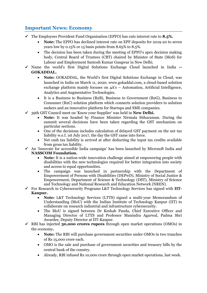## **Important News: Economy**

- ✓ The Employees Provident Fund Organisation (EPFO) has cuts interest rate to **8.5%.**
	- **Note:** The EPFO has declined interest rate on EPF deposits for 2019-20 to seven years low by 0.15% or 15 basis points from 8.65% to 8.5%.
	- The decision has been taken during the meeting of EPFO's apex decision making body, Central Board of Trustees (CBT) chaired by Minister of State (MoS) for Labour and Employment Santosh Kumar Gangwar in New Delhi.
- ✓ Name the world's first Digital Solutions Exchange Cloud launched in India **-- GOKADDAL.**
	- **Note:** GOKADDAL, the World's first Digital Solutions Exchange in Cloud, was launched in India on March 11, 2020. www.gokaddal.com, a cloud-based solution exchange platform mainly focuses on 4A's – Automation, Artificial Intelligence, Analytics and Augmentative Technologies.
	- It is a Business to Business (B2B), Business to Government (B2G), Business to Consumer (B2C) solution platform which connects solution providers to solution seekers and an innovative platform for Startups and SME companies.
- ✓ 39th GST Council meet on 'Know your Supplier' was held in **New Delhi.**
	- **Note:** It was headed by Finance Minister Nirmala Sitharaman. During the summit several decisions have been taken regarding the GST mechanism on particular sections.
	- One of the decisions includes calculation of delayed GST payment on the net tax liability w.e.f. 1st July 2017, the day the GST came into force.
	- Net cash tax liability is arrived at after deducting the input tax credits available from gross tax liability.
- $\checkmark$  An 'Innovate for accessible India campaign' has been launched by Microsoft India and **NASSCOM Foundation.** 
	- **Note:** It is a nation-wide innovation challenge aimed at empowering people with disabilities with the new technologies required for better integration into society and access to equal opportunities.
	- The campaign was launched in partnership with the Department of Empowerment of Persons with Disabilities (DEPwD), Ministry of Social Justice & Empowerment, Department of Science & Technology (DST), Ministry of Science and Technology and National Research and Education Network (NREN).
- ✓ For Research in Cybersecurity Programs L&T Technology Services has signed with **IIT-Kanpur.** 
	- **Note:** L&T Technology Services (LTTS) signed a multi-year Memorandum of Understanding (MoU) with the Indian Institute of Technology Kanpur (IIT) to collaborate on research industrial and infrastructure cybersecurity.
	- The MoU is signed between Dr Keshab Panda, Chief Executive Officer and Managing Director of LTTS and Professor Manindra Agarwal, Padma Shri Awardee, Deputy Director at IIT-Kanpur.
- ✓ RBI has injected **30,000 crores rupees** through open market operations (OMOs) in the economy**.**
	- **Note:** The RBI will purchase government securities under OMOs in two tranches of Rs 15,000 crore each.
	- OMO is the sale and purchase of government securities and treasury bills by the central bank of the country.
	- Already, RBI infused Rs 10,000 crore through open market operations, last week.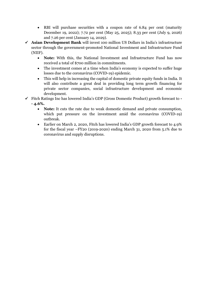- RBI will purchase securities with a coupon rate of 6.84 per cent (maturity December 19, 2022); 7.72 per cent (May 25, 2025); 8.33 per cent (July 9, 2026) and 7.26 per cent (January 14, 2029).
- ✓ **Asian Development Bank** will invest 100 million US Dollars in India's infrastructure sector through the government-promoted National Investment and Infrastructure Fund (NIIF).
	- **Note:** With this, the National Investment and Infrastructure Fund has now received a total of \$700 million in commitments.
	- The investment comes at a time when India's economy is expected to suffer huge losses due to the coronavirus (COVID-19) epidemic.
	- This will help in increasing the capital of domestic private equity funds in India. It will also contribute a great deal in providing long term growth financing for private sector companies, social infrastructure development and economic development.
- ✓ Fitch Ratings Inc has lowered India's GDP (Gross Domestic Product) growth forecast to **- - 4.6%.**
	- **Note:** It cuts the rate due to weak domestic demand and private consumption, which put pressure on the investment amid the coronavirus (COVID-19) outbreak.
	- Earlier on March 2, 2020, Fitch has lowered India's GDP growth forecast to 4.9% for the fiscal year –FY20 (2019-2020) ending March 31, 2020 from 5.1% due to coronavirus and supply disruptions.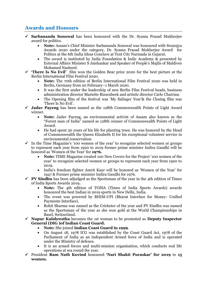## **Awards and Honours**

- ✓ **Sarbananda Sonowal** has been honoured with the Dr. Syama Prasad Mukherjee award for politics.
	- **Note:** Assam's Chief Minister Sarbananda Sonowal was honoured with Swarajya Awards 2020 under the category, Dr. Syama Prasad Mukherjee Award for Politics at the 6th India Ideas Conclave at Tent City Narmada in Gujarat.
	- The award is instituted by India Foundation & Indic Academy & presented by External Affairs Minister S Jaishankar and Speaker of People's Majlis of Maldives Mohamed Nasheed.
- ✓ **'There Is No Evil'** film won the Golden Bear prize 2020 for the best picture at the Berlin International Film Festival 2020.
	- **Note:** The 70th edition of Berlin International Film Festival 2020 was held in Berlin, Germany from 20 February–1 March 2020.
	- It was the first under the leadership of new Berlin Film Festival heads, business administration director Mariette Rissenbeek and artistic director Carlo Chatrian.
	- The Opening film of the festival was 'My Salinger Year'& the Closing film was 'There Is No Evil'.
- ✓ **Jadav Payeng** has been named as the 128th Commonwealth Points of Light Award winner.
	- **Note:** Jadav Payeng, an environmental activist of Assam also known as the "Forest man of India" named as 128th winner of Commonwealth Points of Light Award.
	- He had spent 30 years of his life for planting trees. He was honored by the Head of Commonwealth the Queen Elizabeth II for his exceptional volunteer service in environmental conservation.
- $\checkmark$  In the Time Magazine's '100 women of the year' to recognize selected women or groups to represent each year from 1920 to 2019 former prime minister Indira Gandhi will be honored as 'Women of the Year' for **1976.**
	- **Note:** TIME Magazine created 100 New Covers for the Project '100 women of the year' to recognize selected women or groups to represent each year from 1920 to 2019.
	- India's freedom fighter Amrit Kaur will be honored as 'Women of the Year' for 1947 & Former prime minister Indira Gandhi for 1976.
- $\checkmark$  **PV Sindhu** has been adjudged as the Sportsman of the year in the 4th edition of Times of India Sports Awards 2019**.**
	- **Note:** The 4th edition of TOISA (Times of India Sports Awards) awards honoured the best Indian in 2019 sports in New Delhi, India.
	- The event was powered by BHIM-UPI (Bharat Interface for Money- Unified Payments Interface).
	- Rohit Sharma was named as the Cricketer of the year and PV Sindhu was named as the Sportsman of the year as she won gold at the World Championships in Basel, Switzerland.
- ✓ **Nupur Kulshrestha** becomes the 1st woman to be promoted as **Deputy Inspector General (DIG )of Indian Coast Guard.**
	- **Note:** She joined **Indian Coast Guard in 1999**.
	- On August 18, 1978 ICG was established by the Coast Guard Act, 1978 of the Parliament of India as an independent Armed force of India and is operated under the Ministry of defence.
	- It is an armed forces and multi-mission organisation, which conducts real life operations at sea round the year.
- ✓ President **Ram Nath Kovind** honoured **'Nari Shakti Puraskar' for 2019** to **15 women.**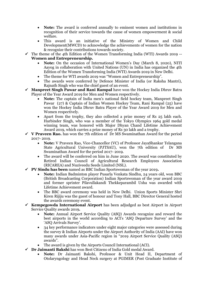- **Note:** The award is conferred annually to eminent women and institutions in recognition of their service towards the cause of women empowerment & social welfare.
- This award is an initiative of the Ministry of Women and Child Development(MWCD) to acknowledge the achievements of women for the nation & recognize their contributions towards society.
- $\checkmark$  The theme of the 4th Edition of the Women Transforming India (WTI) Awards 2019 --**Women and Entrepreneurship.**
	- **Note:** On the occasion of International Women's Day (March 8, 2020), NITI Aayog in collaboration with United Nations (UN) in India has organized the 4th Edition of the Women Transforming India (WTI) Awards 2019 in New Delhi.
	- The theme for WTI awards 2019 was "Women and Entrepreneurship".
	- The awards were conferred by Defence Minister of India (or Raksha Mantri), Rajnath Singh who was the chief guest of an event.
- ✓ **Manpreet Singh Pawar and Rani Rampal** have won the Hockey India Dhruv Batra Player of the Year Award 2019 for Men and Women respectively.
	- **Note:** The captain of India men's national field hockey team, Manpreet Singh Pawar (27) & Captain of Indian Women Hockey Team, Rani Rampal (25) have won the Hockey India Dhruv Batra Player of the Year Award 2019 for Men and Women respectively.
	- Apart from the trophy, they also collected a prize money of Rs 25 lakh each. Harbinder Singh, who was a member of the Tokyo Olympics 1964 gold medal winning team, was honored with Major Dhyan Chand Lifetime Achievement Award 2019, which carries a prize money of Rs 30 lakh and a trophy.
- ✓ **V Praveen Rao.** has won the 7th edition of Dr MS Swaminathan Award for the period 2017- 2019.
	- **Note:** V Praveen Rao, Vice-Chancellor (VC) of Professor JayaShankar Telangana State Agricultural University (PJTSAU), won the 7th edition of Dr MS Swaminathan Award for the period 2017- 2019.
	- The award will be conferred on him in June 2020. The award was constituted by Retired Indian Council of Agricultural Research Employees Association (RICAREA) and Nuziveedu Seeds Limited (NSL).
- ✓ **PV Sindu has been** named as BBC Indian Sportswoman of the year 2019**.**
	- **Note:** Indian Badminton player Pusarla Venkata Sindhu, 24 years old, won BBC (British Broadcasting Corporation) Indian Sportswoman of the year award 2019 and former sprinter Pilavullakandi Thekkeparambil Usha was awarded with Lifetime Achievement award.
	- The BBC award ceremony was held in New Delhi. Union Sports Minister Shri Kiren Rijiju was the guest of honour and Tony Hall, BBC Director General hosted the awards ceremony event.
- ✓ **Kempegowda International Airport** has been adjudged as best Airport in Airport Service Quality awards 2019**.**
	- **Note:** Annual Airport Service Quality (ASQ) Awards recognize and reward the best airports in the world according to ACI's 'ASQ Departure Survey' and the 'ASQ Arrivals Survey'.
	- 34 key performance indicators under eight major categories were assessed during the survey & Indian Airports under the Airport Authority of India (AAI) have won many awards under Asia-Pacific region in "2019 Airport Service Quality (ASQ) awards".
	- The award is given by the Airports Council International (ACI).
- ✓ **Dr Jaimanti Bakshi** has won Best Citizens of India Gold medal Award.
	- **Note:** Dr Jaimanti Bakshi, Professor & Unit Head II, Department of Otolaryngology and Head Neck surgery at PGIMER (Post Graduate Institute of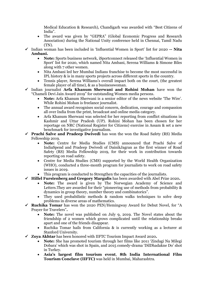Medical Education & Research), Chandigarh was awarded with "Best Citizens of India".

- The award was given by "GEPRA" (Global Economic Progress and Research Association) during the National Unity conference held in Chennai, Tamil Nadu (TN).
- ✓ Indian woman has been included in 'Influential Women in Sport' list for 2020 **-- Nita Ambani.**
	- **Note:** Sports business network, iSportconnect released the 'Influential Women in Sport' list for 2020, which named Nita Ambani, Serena Williams & Simone Biles along with 7 other women.
	- Nita Ambani led her Mumbai Indians franchise to become the most successful in IPL history & is in many sports projects across different sports in the country.
	- Tennis player, Serena Williams's overall impact both on the court, (the greatest female player of all time), & as a businesswoman.
- ✓ Indian journalist **Arfa Khanum Sherwani and Rohini Mohan** have won the "Chameli Devi Jain Award 2019" for outstanding Women media persons.
	- **Note:** Arfa Khanum Sherwani is a senior editor of the news website 'The Wire'. While Rohini Mohan is freelance journalist.
	- The annual award recognises social concern, dedication, courage and compassion all over India from the print, broadcast and online media category.
	- Arfa Khanum Sherwani was selected for her reporting from conflict situations in Kashmir and Uttar Pradesh (UP). Rohini Mohan has been chosen for her reportage on NRC (National Register for Citizens) exercise in Assam & set a new benchmark for investigative journalism.
- ✓ **Prachi Salve and Pradeep Dwivedi** has won the won the Road Safety (RS) Media Fellowship 2019.
	- **Note:** Centre for Media Studies (CMS) announced that Prachi Salve of IndiaSpend and Pradeep Dwivedi of DainikJagran as the first winner of Road Safety (RS) Media Fellowship 2019, for their work in contribution towards reporting on road safety.
	- Centre for Media Studies (CMS) supported by the World Health Organization (WHO), conducted a three-month program for journalists to work on road safety issues in 2019.
	- This program is conducted to Strengthen the capacities of the journalists.
- ✓ **Hillel Furstenberg and Gregory Margulis** has been awarded with Abel Prize 2020**.**
	- **Note:** The award is given by The Norwegian Academy of Science and Letters. They are awarded for their "pioneering use of methods from probability & dynamics in group theory, number theory and combinatorics".
	- They used probabilistic methods & random walks techniques to solve deep problems in diverse areas of mathematics.
- ✓ **Ruchika Tomar** has won the 2020 PEN/Hemingway Award for Debut Novel, for "A Prayer for Travelers"**.**
	- **Note:** The novel was published on July 9, 2019. The Novel states about the friendship of 2 women which grows complicated until the relationship breaks apart and one of the friends disappear.
	- Ruchika Tomar hails from California & is currently working as a lecturer at Stanford University.
- ✓ **Zoya Akhtar** has been honored with IIFTC Tourism Impact Award 2020**.**
	- **Note:** She has promoted tourism through her films like 2011 'Zindagi Na Milegi Dobara' which was shot in Spain, and 2015 comedy-drama 'DilDhadakne Do' shot in Turkey.
	- **Asia's largest film tourism event**, **8th India International Film Tourism Conclave (IIFTC)** was held in Mumbai, Maharashtra.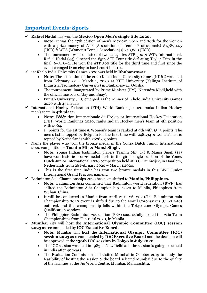#### **Important Events: Sports**

- ✓ **Rafael Nadal** has won the **Mexico Open Men's single title 2020.**
	- **Note:** It was the 27th edition of men's Mexican Open and 20th for the women with a prize money of ATP (Association of Tennis Professionals) \$1,789,445 (USD) & WTA (Women's Tennis Association) \$ 250,000 (USD).
	- The tournament was consisted of two categories ATP 500 & WTA International. Rafael Nadal (33) clinched the 85th ATP Tour title defeating Taylor Fritz in the final, 6–3, 6–2. He won the ATP 500 title for the third time and first since the event changed from clay to hard-court in 2014.
- ✓ 1st Khelo India University Games 2020 was held in **Bhubaneswar.**
	- **Note:** The 1st edition of the 2020 Khelo India University Games (KIUG) was held from February 22 – March 1, 2020 at KIIT University (Kalinga Institute of Industrial Technology University) in Bhubaneswar, Odisha.
	- The tournament, inaugurated by Prime Minister (PM) Narendra Modi,held with the official mascots of 'Jay and Bijay'.
	- Punjab University (PB) emerged as the winner of Khelo India University Games 2020 with 45 medals
- $\checkmark$  International Hockey Federation (FIH) World Rankings 2020 ranks Indian Hockey men's team in **4th place.**
	- **Note:** Fédération Internationale de Hockey or International Hockey Federation (FIH) World Rankings 2020, ranks Indian Hockey men's team at 4th position with 2064.
	- 14 points for the 1st time & Women's team is ranked at 9th with 1543 points. The men's list is topped by Belgium for the first time with 2481.34 & women's list is topped by Netherlands with 2626.03 points.
- $\checkmark$  Name the player who won the bronze medal in the Yonex Dutch Junior International 2020 competition **-- Tasnim Mir & Mansi Singh.** 
	- **Note:** Young Indian badminton players Tasnim Mir (14) & Mansi Singh (14) have won historic bronze medal each in the girls' singles section of the Yonex Dutch Junior International 2020 competition held at B.C. Duinwijck, in Haarlem, Netherlands from 26 February 2020 – March 1,2020.
	- This is the first time India has won two bronze medals in this BWF Junior International Grand Prix tournament.
- ✓ Badminton Asia Championships 2020 has been shifted to **Manila, Philippines.**
	- **Note:** Badminton Asia confirmed that Badminton world federation (BWF) has shifted the Badminton Asia Championships 2020 to Manila, Philippines from Wuhan, China.
	- It will be conducted in Manila from April 21 to 26, 2020. The Badminton Asia Championship 2020 event is shifted due to the Novel Coronavirus (COVID-19) outbreak and this championship falls within the Tokyo 2020 Olympic Games Qualification window.
	- The Philippine Badminton Association (PBA) successfully hosted the Asia Team Championships from Feb 11-16 2020, in Manila.
- ✓ **Mumbai** city will host the **International Olympic Committee (IOC) session 2023** as recommended by **IOC Executive Board.**
	- **Note:** Mumbai will host the **International Olympic Committee (IOC) session 2023** as recommended by **IOC Executive Board** and the decision will be approved at the **136th IOC session in Tokyo** in **July 2020.**
	- The IOC session was held in 1983 in New Delhi and the session is going to be held in India after 40 years.
	- The Evaluation Commission had visited Mumbai in October 2019 to study the feasibility of hosting the session & the board selected Mumbai due to the quality of the facilities at the Jio World Centre, Mumbai, Maharashtra.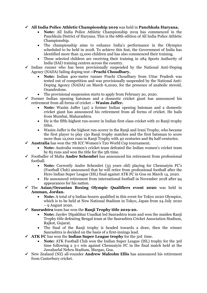✓ **All India Police Athletic Championship 2019** was held in **Panchkula Haryana.**

- **Note:** All India Police Athletic Championship 2019 has commenced in the Panchkula District of Haryana. This is the 68th edition of All India Police Athletic Championship.
- The championship aims to enhance India's performance in the Olympics scheduled to be held in 2028. To achieve this feat, the Government of India has identified more than 15,000 children and has also commenced their training.
- These selected children are receiving their training in 284 Sports Authority of India (SAI) training centres across the country.
- $\checkmark$  Indian runner who has been provisionally suspended by the National Anti-Doping Agency (NADA) failing doping test **--Prachi Choudhary.**
	- **Note:** Indian 400-meter runner Prachi Choudhary from Uttar Pradesh was tested out of competition and was provisionally suspended by the National Anti-Doping Agency (NADA) on March 6,2020, for the presence of anabolic steroid, Oxandrolone.
	- The provisional suspension starts to apply from February 20, 2020.
- $\checkmark$  Former Indian opening batsman and a domestic cricket giant has announced his retirement from all forms of cricket -- **Wasim Jaffer.**
	- **Note:** Wasim Jaffer (42) a former Indian opening batsman and a domestic cricket giant has announced his retirement from all forms of cricket. He hails from Mumbai, Maharashtra.
	- He is the fifth-highest run-scorer in Indian first-class cricket with 10 Ranji trophy titles.
	- Wasim Jaffer is the highest run-scorer in the Ranii and Irani Trophy, who became the first player to play 150 Ranji trophy matches and the first batsman to score more than 12,000 runs in Ranji Trophy with 40 centuries and 89 half-centuries.
- ✓ **Australia** has won the 7th ICC Women's T20 World Cup tournament**.**
	- **Note:** Australia women's cricket team defeated the Indian women's cricket team by 85 runs and won the title for the 5th time.
- ✓ Footballer of Malta **Andre Schembri** has announced his retirement from professional football.
	- **Note:** Currently Andre Schembri (33 years old) playing for Chennaiyin FC's (Football Club) announced that he will retire from professional football after the Hero Indian Super League (ISL) final against ATK FC in Goa on March 14, 2020.
	- He announced retirement from international football in November 2018 after 94 appearances for his nation.
- ✓ The **Asian/Oceanian Boxing Olympic Qualifiers event 2020** was held in **Amman, Jordan.**
	- **Note:** A total of 9 Indian boxers qualified in this event for Tokyo 2020 Olympics, which is to be held at New National Stadium in Tokyo, Japan from 24 July 2020 – 9 August 2020.
- ✓ **Saurashtra** team has won the **Ranji Trophy title 2019-20.**
	- **Note:** Jaydev Dipakbhai Unadkat led Saurashtra team and won the maiden Ranji Trophy title defeating Bengal team at the Saurashtra Cricket Association Stadium, Rajkot, Gujarat.
	- The final of the Ranji trophy is headed towards a draw, then the winner Saurashtra is decided on the basis of a first-innings lead.
- $\checkmark$  **ATK FC** has won the **Indian Super League trophy** for the 3rd time.
	- **Note:** ATK Football Club won the Indian Super League (ISL) trophy for the 3rd time following a 3-1 win against Chennaiyin FC in the final match held at the Jawaharlal Nehru Stadium, Margao, Goa.
- ✓ New Zealand (NZ) all-rounder **Andrew Malcolm Ellis** has announced his retirement from Canterbury cricket.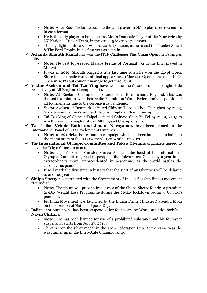- **Note:** After Ross Taylor he became the 2nd player in NZ to play over 100 games in each format.
- He is the only player to be named as Men's Domestic Player of the Year twice by NZ National Cricket Team, in the 2014-15 & 2016-17 seasons.
- The highlight of his career was the 2016-17 season, as he raised the Plunket Shield & The Ford Trophy in his first year as captain.
- ✓ **Achanta Sharath Kamal** has won the ITTF Challenger Plus Oman Open men's singles title**.**
	- **Note:** He beat top-seeded Marcos Freitas of Portugal 4-2 in the final played in Muscat.
	- It was in 2010, Sharath bagged a title last time when he won the Egypt Open. Since then he made two semi-final appearances (Morocco Open in 2011 and India Open in 2017) but couldn't manage to get through it.
- ✓ **Viktor Axelsen and Tai Tzu Ying** have won the men's and women's singles title respectively at All England Championship**.**
	- **Note:** All England Championship was held in Birmingham, England. This was the last badminton event before the Badminton World Federation's suspension of all tournaments due to the coronavirus pandemic.
	- Viktor Axelsen of Denmark defeated Chinese Taipei's Chou Tien-chen by 21-13, 21-14 to win the men's singles title of All England Championship.
	- Tai Tzu Ying of Chinese Taipei defeated Chinese Chen Yu Fei by 21-19, 21-15 to win the women's singles title of All England Championship.
- ✓ Two Indian **Vrinda Rathi and Janani Narayanan.** have been named in the International Panel of ICC Development Umpires.
	- **Note:** 100% Cricket is a 12-month campaign which has been launched to build on the momentum of the ICC Women's T20 World Cup 2020.
- ✓ The **International Olympic Committee and Tokyo Olympic** organizers agreed to move the Tokyo Games to **2021.**
	- **Note:** Japan's Prime Minister Shinzo Abe and the head of the International Olympic Committee agreed to postpone the Tokyo 2020 Games by a year in an extraordinary move, unprecedented in peacetime, as the world battles the coronavirus pandemic.
	- It will mark the first time in history that the start of an Olympics will be delayed to another year.
- ✓ **Shilpa Shetty** has partnered with the Government of India's flagship fitness movement "Fit India"**.**
	- **Note:** The tie-up will provide free access of the Shilpa Shetty Kundra's premium 21-Day Weight Loss Programme during the 21-day lockdown owing to Covid-19 pandemic.
	- Fit India Movement was launched by the Indian Prime Minister Narendra Modi on the occasion of National Sports Day.
- ✓ Indian shot-putter who has been suspended for four years by World athletics body's **-- Navin Chikara.**
	- **Note:** He has been banned for use of a prohibited substance and his four-year suspension starts from July 27, 2018.
	- Chikara won the silver medal in the 2018 Federation Cup. At the same year, he was runner up in the Inter-State Championship.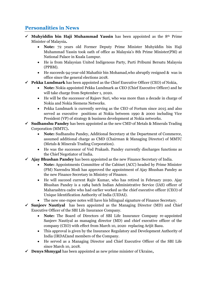### **Personalities in News**

- $\checkmark$  **Muhviddin bin Haji Muhammad Yassin** has been appointed as the 8<sup>th</sup> Prime Minister of Malaysia**.**
	- **Note:** 72 years old Former Deputy Prime Minister Muhyiddin bin Haji Muhammad Yassin took oath of office as Malaysia's 8th Prime Minister(PM) at National Palace in Kuala Lumpur.
	- He is from Malaysian United Indigenous Party, Parti Pribumi Bersatu Malaysia (PPBM).
	- He succeeds 94-year-old Mahathir bin Mohamad,who abruptly resigned & was in office since the general elections 2018.
- ✓ **Pekka Lundmark** has been appointed as the Chief Executive Officer (CEO) of Nokia,
	- **Note:** Nokia appointed Pekka Lundmark as CEO (Chief Executive Officer) and he will take charge from September 1, 2020.
	- He will be the successor of Rajeev Suri, who was more than a decade in charge of Nokia and Nokia Siemens Networks.
	- Pekka Lundmark is currently serving as the CEO of Fortum since 2015 and also served as executive positions at Nokia between 1990 & 2000 including Vice President (VP) of strategy & business development at Nokia networks.
- ✓ **Sudhanshu Pandey** has been appointed as the new CMD of Metals & Minerals Trading Corporation (MMTC)**.**
	- **Note:** Sudhanshu Pandey, Additional Secretary at the Department of Commerce, assumed additional charge as CMD (Chairman & Managing Director) of MMTC (Metals & Minerals Trading Corporation).
	- He was the successor of Ved Prakash. Pandey currently discharges functions as the Chief Negotiator of India.
- ✓ **Ajay Bhushan Pandey** has been appointed as the new Finance Secretary of India.
	- **Note:** Appointments Committee of the Cabinet (ACC) headed by Prime Minister (PM) Narendra Modi has approved the appointment of Ajay Bhushan Pandey as the new Finance Secretary in Ministry of Finance.
	- He will succeed current Rajiv Kumar, who has retired in February 2020. Ajay Bhushan Pandey is a 1984 batch Indian Administrative Service (IAS) officer of Maharashtra cadre who had earlier worked as the chief executive officer (CEO) of Unique Identification Authority of India (UIDAI).
	- The new one-rupee notes will have his bilingual signature of Finance Secretary.

✓ **Sanjeev Nautiyal** has been appointed as the Managing Director (MD) and Chief Executive Officer of the SBI Life Insurance Company.

- **Note:** The Board of Directors of SBI Life Insurance Company re-appointed Sanjeev Nautiyal as managing director (MD) and chief executive officer of the company (CEO) with effect from March 10, 2020 replacing Arijit Basu.
- This approval is given by the Insurance Regulatory and Development Authority of India (IRDAI)and members of the Company.
- He served as a Managing Director and Chief Executive Officer of the SBI Life since March 10, 2018.
- ✓ **Denys Shmygal** has been appointed as new prime minister of Ukraine**,**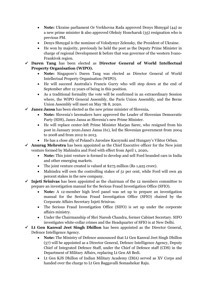- **Note:** Ukraine parliament Or Verkhovna Rada approved Denys Shmygal (44) as a new prime minister & also approved Oleksiy Honcharuk (35) resignation who is previous PM.
- Denys Shmygal is the nominee of Volodymyr Zelensky, the President of Ukraine.
- He won by majority, previously he held the post as the Deputy Prime Minister in charge of regional Development & before that was governor of the western Ivano-Frankivsk region.
- ✓ **Daren Tang** has been elected as **Director General of World Intellectual Property Organisation (WIPO).**
	- **Note:** Singapore's Daren Tang was elected as Director General of World Intellectual Property Organisation (WIPO).
	- He will succeed Australia's Francis Gurry who will step down at the end of September after 12 years of being in this position.
	- As a traditional formality the vote will be confirmed in an extraordinary Session where, the WIPO General Assembly, the Paris Union Assembly, and the Berne Union Assembly will meet on May 7& 8, 2020.
- ✓ **Janez Jansa** has been elected as the new prime minister of Slovenia**.**
	- **Note:** Slovenia's lawmakers have approved the Leader of Slovenian Democratic Party (SDS), Janez Jansa as Slovenia's new Prime Minister.
	- He will replace center-left Prime Minister Marjan Sarec, who resigned from his post in January 2020.Janez Jansa (61), led the Slovenian government from 2004 to 2008 and from 2012 to 2013.
	- He has a close ally of Poland's Jaroslaw Kaczynski and Hungary's Viktor Orban.

✓ **Anurag Mehrotra** has been appointed as the Chief Executive officer for the New joint venture formed by Mahindra and Ford with effect from April 1, 2020**.**

- **Note:** This joint venture is formed to develop and sell Ford branded cars in India and other emerging markets.
- The joint venture created is valued at \$275 million (Rs 1,925 crore).
- Mahindra will own the controlling stakes of 51 per cent, while Ford will own 49 percent stakes in the new company.
- $\checkmark$  **Injeti Srinivas** has been appointed as the chairman of the 12 members committee to prepare an investigation manual for the Serious Fraud Investigation Office (SFIO).
	- **Note:** A 12-member high level panel was set up to prepare an investigation manual for the Serious Fraud Investigation Office (SFIO) chaired by the Corporate Affairs Secretary Injeti Srinivas.
	- The Serious Fraud Investigation Office (SIFO) is set up under the corporate affairs ministry.
	- Under the Chairmanship of Shri Naresh Chandra, former Cabinet Secretary. SIFO investigates white-collar crimes and the Headquarter of SFIO is at New Delhi.
- ✓ **Lt Gen Kanwal Jeet Singh Dhillon** has been appointed as the Director General, Defence Intelligence Agency.
	- **Note:** The Ministry of Defence announced that Lt Gen Kanwal Jeet Singh Dhillon (57) will be appointed as a Director General, Defence Intelligence Agency, Deputy Chief of Integrated Defence Staff, under the Chief of Defence staff (CDS) in the Department of Military Affairs, replacing Lt Gen AS Bedi.
	- Lt Gen KJS Dhillon of Indian Military Academy (IMA) served as XV Corps and handed over the charge to Lt Gen Baggavalli Somashekar Raju.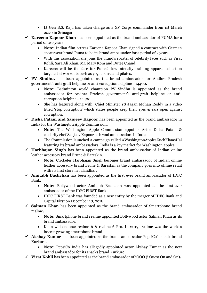- Lt Gen B.S. Raju has taken charge as a XV Corps commander from 1st March 2020 in Srinagar.
- ✓ **Kareena Kapoor Khan** has been appointed as the brand ambassador of PUMA for a period of two years.
	- **Note:** Indian film actress Kareena Kapoor Khan signed a contract with German sportswear brand Puma to be its brand ambassador for a period of 2 years.
	- With this association she joins the brand's roaster of celebrity faces such as Virat Kohli, Sara Ali Khan, MC Mary Kom and Dutee Chand.
	- Kareena will be the face for Puma's low-intensity training apparel collection targeted at workouts such as yoga, barre and pilates.
- ✓ **PV Sindhu.** has been appointed as the brand ambassador for Andhra Pradesh government's anti-graft helpline or anti-corruption helpline– 14400**.**
	- **Note:** Badminton world champion PV Sindhu is appointed as the brand ambassador for Andhra Pradesh government's anti-graft helpline or anticorruption helpline– 14400.
	- She has featured along with Chief Minister YS Jagan Mohan Reddy in a video titled 'stop corruption' which states people keep their eyes & ears open against corruption.
- ✓ **Disha Patani and Sanjeev Kapoor** has been appointed as the brand ambassador in India for the Washington Apple Commission,
	- **Note:** The Washington Apple Commission appoints Actor Disha Patani & celebrity chef Sanjeev Kapoor as brand ambassadors in India.
	- The Commission launched a campaign called #WashingtonApplesKuchKhaasHai featuring its brand ambassadors. India is a key market for Washington apples.
- ✓ **Harbhajan Singh** has been appointed as the brand ambassador of Indian online leather accessory brand Brune & Bareskin.
	- **Note:** Cricketer Harbhajan Singh becomes brand ambassador of Indian online leather accessory brand Brune & Bareskin as the company goes into offline retail with its first store in Jalandhar.
- ✓ **Amitabh Bachchan** has been appointed as the first ever brand ambassador of IDFC Bank**.**
	- **Note:** Bollywood actor Amitabh Bachchan was appointed as the first-ever ambassador of the IDFC FIRST Bank.
	- IDFC FIRST Bank was founded as a new entity by the merger of IDFC Bank and Capital First on December 18, 2018.
- ✓ **Salman Khan** has been appointed as the brand ambassador of Smartphone brand realme**.**
	- **Note:** Smartphone brand realme appointed Bollywood actor Salman Khan as its brand ambassador.
	- Khan will endorse realme 6 & realme 6 Pro. In 2019, realme was the world's fastest-growing smartphone brand.
- ✓ **Akshay Kumar** has been appointed as the brand ambassador PepsiCo's snack brand Kurkure**.**
	- **Note:** PepsiCo India has allegedly appointed actor Akshay Kumar as the new brand ambassador for its snacks brand Kurkure.
- ✓ **Virat Kohli** has been appointed as the brand ambassador of iQOO (i Quest On and On)**.**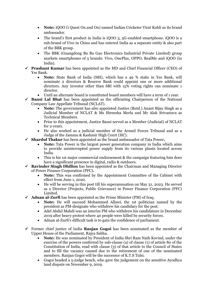- **Note:** iQOO (i Quest On and On) named Indian Cricketer Virat Kohli as its brand ambassador.
- The brand's first product in India is iQOO 3, 5G-enabled smartphone. iQOO is a sub-brand of Vivo in China and has entered India as a separate entity & also part of the BBK group.
- The BBK (Guangdong Bu Bu Gao Electronics Industrial Private Limited) group markets smartphones of 5 brands: Vivo, OnePlus, OPPO, RealMe and iQOO (in India).
- ✓ **Prashant Kumar** has been appointed as the MD and Chief Financial Officer (CEO) of Yes Bank.
	- **Note:** State Bank of India (SBI), which has a 49 % stake in Yes Bank, will nominate 2 directors & Reserve Bank could appoint one or more additional directors. Any investor other than SBI with  $15\overline{\%}$  voting rights can nominate 1 director.
	- Until an alternate board is constituted board members will have a term of 1 year.
- ✓ **Bansi Lal Bhat** has been appointed as the officiating Chairperson of the National Company Law Appellate Tribunal (NCLAT).
	- **Note:** The government has also appointed Justice (Retd.) Anant Bijay Singh as a Judicial Member of NCLAT & Ms Shreesha Merla and Mr Alok Srivastava as Technical Members.
	- Prior to this appointment, Justice Bansi served as a Member (Judicial) of NCLAT for 2-years.
	- He also worked as a judicial member of the Armed Forces Tribunal and as a Judge of the Jammu & Kashmir High Court (HC).
- ✓ **Shardul Thakur** has been appointed as the brand ambassador of Tata Power**.**
	- **Note:** Tata Power is the largest power generation company in India which aims to provide uninterrupted power supply from its various plants located across India.
	- This is his 1st major commercial endorsement & the campaign featuring him does have a significant presence in digital, radio & outdoors.
- ✓ **Ravinder Singh Dhillon** has been appointed as the Chairman and Managing Director of Power Finance Corporation (PFC)**.**
	- **Note:** This was confirmed by the Appointment Committee of the Cabinet with effect from June 1, 2020.
	- He will be serving in this post till his superannuation on May 31, 2023. He served as a Director (Projects, Public Grievance) in Power Finance Corporation (PFC) Limited.
- $\checkmark$  **Adnan al-Zurfi** has been appointed as the Prime Minister (PM) of Iraq.
	- **Note:** He will succeed Mohammed Allawi, the 1st politician named by the president as PM-designate who withdrew his candidacy for the post.
	- Adel Abdul Mahdi was an interim PM who withdrew his candidature in December 2019 after heavy protest where 40 people were killed by security forces.
	- Adnan al-Zurfi's difficult task is to gain the confidence of parliament.
- ✓ Former chief justice of India **Ranjan Gogoi** has been nominated as the member of Upper House of the Parliament, Rajya Sabha.
	- **Note:** He was nominated by President of India Shri Ram Nath Kovind, under the exercise of the powers conferred by sub-clause (a) of clause (1) of article 80 of the Constitution of India, read with clause (3) of that article to the Council of States and to fill the vacancy caused due to the retirement of one of the nominated members. Ranjan Gogoi will be the successor of K.T.S Tulsi.
	- Gogoi headed a 5-judge bench, who gave the judgement on the sensitive Ayodhya land dispute on November 9, 2019.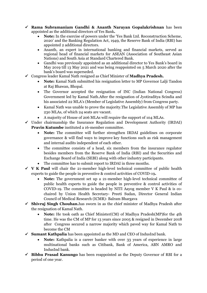- ✓ **Rama Subramaniam Gandhi & Ananth Narayan Gopalakrishnan** has been appointed as the additional directors of Yes Bank**.**
	- **Note:** In the exercise of powers under the 'Yes Bank Ltd. Reconstruction Scheme, 2020' and the Banking Regulation Act, 1949, the Reserve Bank of India (RBI) has appointed 2 additional directors.
	- Ananth, an expert in international banking and financial markets, served as regional head of financial markets for ASEAN (Association of Southeast Asian Nations) and South Asia at Standard Chartered Bank.
	- Gandhi was previously appointed as an additional director to Yes Bank's board in May 2019 till 13 May 2021 and was being reappointed on 5 March 2020 after the bank's board was superseded.
- ✓ Congress leader Kamal Nath resigned as Chief Minister of **Madhya Pradesh.**
	- **Note:** Kamal Nath submitted his resignation letter to MP Governor Lalji Tandon at Raj Bhawan, Bhopal.
	- The Governor accepted the resignation of INC (Indian National Congress) Government led by Kamal Nath.After the resignation of Jyotiraditya Scindia and his associated 22 MLA's (Member of Legislative Assembly) from Congress party.
	- Kamal Nath was unable to prove the majority.The Legislative Assembly of MP has 230 MLAs, of which 24 seats are vacant.
	- A majority of House of 206 MLAs will require the support of 104 MLAs.
- $\checkmark$  Under chairmanship the Insurance Regulation and Development Authority (IRDAI) **Pravin Kutumbe** instituted a 16-member committee.
	- **Note:** The committee will further strengthen IRDAI guidelines on corporate governance & will find ways to improve key functions such as risk management and internal audits independent of each other.
	- The committee consists of a head, six members from the insurance regulator besides members from the Reserve Bank of India (RBI) and the Securities and Exchange Board of India (SEBI) along with other industry participants.
	- The committee has to submit report to IRDAI in three months.
- $\checkmark$  **V** K Paul will chair the 21-member high-level technical committee of public health experts to guide the people in preventive & control activities of COVID-19**.**
	- **Note:** The government set up a 21-member high-level technical committee of public health experts to guide the people in preventive & control activities of COVID-19. The committee is headed by NITI Aayog member  $V K$  Paul  $\&$  is cochaired by Union Health Secretary- Preeti Sudan, Director General Indian Council of Medical Research (ICMR)- Balram Bhargava
- ✓ **Shivraj Singh Chouhan.**has sworn in as the chief minister of Madhya Pradesh after the resignation of Kamal Nath.
	- **Note:** He took oath as Chief Minister(CM) of Madhya Pradesh(MP)for the 4th time. He was the CM of MP for 13 years since 2005 & resigned in December 2018 after Congress secured a narrow majority which paved way for Kamal Nath to become the CM
- ✓ **Sumant Kathpalia** has been appointed as the MD and CEO of IndusInd bank.
	- **Note:** Kathpalia is a career banker with over 33 years of experience in large multinational banks such as Citibank, Bank of America, ABN AMRO and IndusInd bank.
- ✓ **Bibhu Prasad Kanungo** has been reappointed as the Deputy Governor of RBI for a period of one year.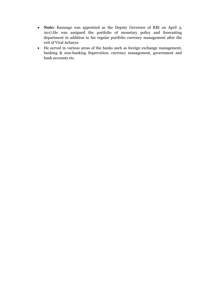- **Note:** Kanungo was appointed as the Deputy Governor of RBI on April 3, 2017.He was assigned the portfolio of monetary policy and forecasting department in addition to his regular portfolio currency management after the exit of Viral Acharya.
- He served in various areas of the banks such as foreign exchange management, banking & non-banking Supervision, currency management, government and bank accounts etc.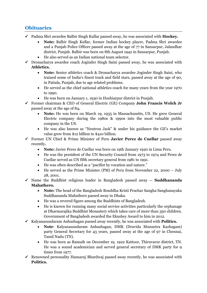#### **Obituaries**

- ✓ Padma Shri awardee Balbir Singh Kullar passed away, he was associated with **Hockey.**
	- **Note:** Balbir Singh Kullar, former Indian hockey player, Padma Shri awardee and a Punjab Police Officer passed away at the age of 77 in Sansarpur, Jalandhar district, Punjab. Balbir was born on 8th August 1942 in Sansarpur, Punjab.
	- He also served as an Indian national team selector.
- $\checkmark$  Dronacharya awardee coach Joginder Singh Saini passed away, he was associated with **Athletics.**
	- **Note:** Senior athletics coach & Dronacharya awardee Joginder Singh Saini, who trained some of India's finest track and field stars, passed away at the age of 90, in Patiala, Punjab, due to age related problems.
	- He served as the chief national athletics coach for many years from the year 1970 to 1990.
	- He was born on January 1, 1930 in Hoshiarpur district in Punjab.
- ✓ Former chairman & CEO of General Electric (GE) Company **John Francis Welch Jr** passed away at the age of 84**.**
	- **Note:** He was born on March 19, 1935 in Massachusetts, US. He grew General Electric company during the 1980s & 1990s into the most valuable public company in the US.
	- He was also known as "Neutron Jack" & under his guidance the GE's market value grew from \$12 billion to \$410 billion.
- ✓ Former UN Chief & Prime Minister of Peru **Javier Perez de Cuellar** passed away recently**.**
	- **Note:** Javier Perez de Cuellar was born on 19th January 1920 in Lima Peru.
	- He was the president of the UN Security Council from 1973 to 1974 and Perez de Cuellar served as UN fifth secretary general from 1981 to 1991.
	- He was often described as a "pacifist by vocation and nature."
	- He served as the Prime Minister (PM) of Peru from November 22, 2000 July 28, 2001.
- ✓ Name the Buddhist religious leader in Bangladesh passed away -- **Suddhananda Mahathero.**
	- **Note:** The head of the Bangladesh Bouddha Kristi Prachar Sangha Sanghanayaka Suddhananda Mahathero passed away in Dhaka.
	- He was a revered figure among the Buddhists of Bangladesh.
	- He is known for running many social service activities particularly the orphanage at Dharmarajika Buddhist Monastery which takes care of more than 350 children. Government of Bangladesh awarded the Ekushey Award to him in 2012.
- ✓ Kalyanasundaram Anbazhagan passed away recently, he was associated with **Politics.**
	- **Note**: Kalyanasundaram Anbazhagan, DMK (Dravida Munnetra Kazhagam) party General Secretary for 43 years, passed away at the age of 97 in Chennai, Tamil Nadu (TN).
	- He was born as Ramaih on December 19, 1922 Kattoor, Thiruvarur district, TN. He was a sound academician and served general secretary of DMK party for 9 times from 1977.
- $\checkmark$  Renowned personality Hansaraj Bhardwaj passed away recently, he was associated with **Politics.**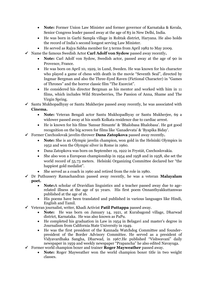- **Note:** Former Union Law Minister and former governor of Karnataka & Kerala, Senior Congress leader passed away at the age of 83 in New Delhi, India.
- He was born in Garhi Sampla village in Rohtak district, Haryana. He also holds the record of India's second longest serving Law Minister.
- He served as Rajya Sabha member for 5 terms from April 1982 to May 2009.
- ✓ Name the famous Swedish Actor **Carl Adolf von Sydow** passed away recently**.**
	- **Note:** Carl Adolf von Sydow, Swedish actor, passed away at the age of 90 in Provence, France.
	- He was born on April 10, 1929, in Lund, Sweden. He was known for his character who played a game of chess with death in the movie "Seventh Seal", directed by Ingmar Bergman and also the Three-Eyed Raven (Fictional Character) in "Games of Thrones" and the horror classic film "The Exorcist".
	- He considered his director Bergman as his mentor and worked with him in 11 films, which includes Wild Strawberries, The Passion of Anna, Shame and The Virgin Spring.
- ✓ Santu Mukhopadhyay or Santu Mukherjee passed away recently, he was associated with **Cinema.**
	- **Note:** Veteran Bengali actor Santu Mukhopadhyay or Santu Mukherjee, 69 a widower passed away at his south Kolkata residence due to cardiac arrest.
	- He is known for his films 'Sansar Simante' & 'Bhalobasa Bhalobasa'. He got good recognition on the big screen for films like 'Ganadevata' & 'Byapika Biday'.
- ✓ Former Czechoslovak javelin-thrower **Dana Zatopkova** passed away recently**.**
	- **Note:** She is an Olympic javelin champion, won gold in the Helsinki Olympics in 1952 and won the Olympic silver in Rome in 1960.
	- Dana Zatopkova was born on September 19, 1922 in Frystát, Czechoslovakia.
	- She also won a European championship in 1954 and 1958 and in 1958, she set the world record of 55.73 meters. Helsinki Organizing Committee declared her "the happiest gold medalist".
	- She served as a coach in 1960 and retired from the role in 1980.
- ✓ Dr Puthussery Ramachandran passed away recently, he was a veteran **Malayalam poet.**
	- **Note:**A scholar of Dravidian linguistics and a teacher passed away due to agerelated illness at the age of 91 years. His first poem Onnanthyakkuttamwas published at the age of 16.
	- His poems have been translated and published in various languages like Hindi, English and Tamil.
- ✓ Veteran journalist, writer, Khadi Activist **Patil Puttappa** passed away.
	- **Note:** He was born on January 14, 1921, at Kurabagond village, Dharwad district, Karnataka. He was also known as PaPu.
	- He completed his graduation in Law in 1954 in Belagavi and master's degree in Journalism from California State University in 1949.
	- He was the first president of the Kannada Watchdog Committee and founderpresident of the Border Advisory Committee. He served as a president of Vidyavardhaka Sangha, Dharwad, in 1967.He published "Vishwavani" daily newspaper in 1959 and weekly newspaper "Prapancha" he also edited Navayuga.
- ✓ Former world champion boxer and trainer **Roger Mayweather** passed away.
	- **Note:** Roger Mayweather won the world champion boxer title in two weight classes.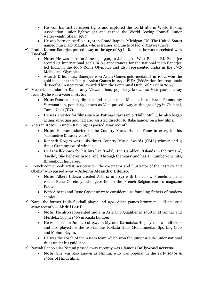- He won his first 17 career fights and captured the world title in World Boxing Association junior lightweight and earned the World Boxing Council junior welterweight title in 1987.
- He was born on April 24, 1961 in Grand Rapids, Michigan, US. The United States named him Black Mamba, who is trainer and uncle of Floyd Mayweather's.
- $\checkmark$  Pradip Kumar Banerjee passed away at the age of 83 in Kolkata, he was associated with **Football.**
	- **Note:** He was born on June 23, 1936, in Jalpaiguri, West Bengal.P.K Banerjee scored 65 international goals in 84 appearances for the national team.Banerjee led India in the 1960 Rome Olympics and also represented India in the 1956 Melbourne Olympics.
	- Awards & honours: Banerjee won Asian Games gold-medallist in 1962, won the gold medal at the Jakarta Asian Games in 1992, FIFA (Fédération Internationale de Football Association) awarded him the Centennial Order of Merit in 2004.
- $\checkmark$  Meenakshisundaram Ramasamy Viswanathan, popularly known as Visu passed away recently, he was a veteran **Actor.**
	- **Note:**Famous actor, director and stage artiste Meenakshisundaram Ramasamy Viswanathan, popularly known as Visu passed away at the age of 75 in Chennai, Tamil Nadu (TN).
	- He was a writer for films such as Pattina Pravesam & Thillu Mullu, he also began acting, directing and had also assisted director K. Balachander on a few films.
- ✓ Veteran **Actor** Kenneth Ray Rogers passed away recently
	- **Note:** He was inducted to the Country Music Hall of Fame in 2013, for his "distinctive & husky voice".
	- Kenneth Rogers was a six-times Country Music Awards (CMA) winner and 3 times Grammy award winner.
	- He is well-known for his hits like 'Lady', 'The Gambler', 'Islands in the Stream', 'Lucile', 'She Believes in Me' and 'Through the years' and has 24 number-one hits, throughout his career.
- $\checkmark$  French comic book artist, scriptwriter, the co-creator and illustrator of the "Asterix and Obelix" who passed away -- **Alberto Aleandro Uderzo.**
	- **Note:** Albert Uderzo created Asterix in 1959 with the fellow Frenchman and writer Rene Goscinny, who gave life to the French-Belgian comics magazine Pilote.
	- Both Alberto and Rene Goscinny were considered as founding fathers of modern comics.
- $\checkmark$  Name the former India football player and 1970 Asian games bronze medallist passed away recently **-- Abdul Latif.**
	- **Note:** He also represented India in Asia Cup Qualifier in 1968 in Myanmar and Merdeka Cup in 1969 in Kuala Lumpur.
	- He was born on June 20 of 1947 in Mysore, Karnataka.He played as a midfielder and also played for the two famous Kolkata clubs Mohammedan Sporting Club and Mohun Bagan.
	- He was the coach of the Assam team which won the junior & sub-junior national titles under his guidance.
- ✓ Nawab Banoo alias Nimmi passed away recently was a famous **Bollywood actress.**
	- **Note:** She was also known as Nimmi, who was popular in the early 1950s & 1960s of Hindi films.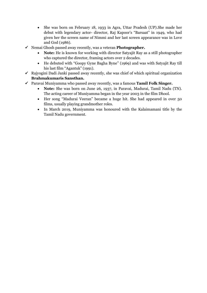- She was born on February 18, 1933 in Agra, Uttar Pradesh (UP). She made her debut with legendary actor- director, Raj Kapoor's "Barsaat" in 1949, who had given her the screen name of Nimmi and her last screen appearance was in Love and God (1986).
- ✓ Nemai Ghosh passed away recently, was a veteran **Photographer.**
	- **Note:** He is known for working with director Satyajit Ray as a still photographer who captured the director, framing actors over 2 decades.
	- He debuted with "Goopy Gyne Bagha Byne" (1969) and was with Satyajit Ray till his last film "Agantuk" (1991).
- $\checkmark$  Rajyogini Dadi Janki passed away recently, she was chief of which spiritual organization **Brahmakumaris Sansthan.**
- ✓ Paravai Muniyamma who passed away recently, was a famous **Tamil Folk Singer.**
	- **Note:** She was born on June 26, 1937, in Paravai, Madurai, Tamil Nadu (TN). The acting career of Muniyamma began in the year 2003 in the film Dhool.
	- Her song "Madurai Veeran" became a huge hit. She had appeared in over 50 films, usually playing grandmother roles.
	- In March 2019, Muniyamma was honoured with the Kalaimamani title by the Tamil Nadu government.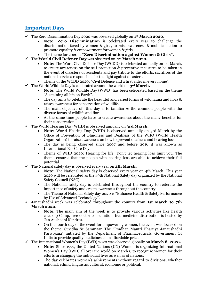#### **Important Days**

- ✓ The Zero Discrimination Day 2020 was observed globally on **1 st March 2020.**
	- **Note: Zero Discrimination** is celebrated every year to challenge the discrimination faced by women & girls, to raise awareness & mobilize action to promote equality & empowerment for women & girls.
	- The theme for 2020 is **"Zero Discrimination against Women & Girls".**
- ✓ The **World Civil Defence Day** was observed on **1 st March 2020.**
	- **Note:** The Word Civil Defense Day (WCDD) is celebrated annually on 1st March, to create awareness on the self-protection & preventive measures to be taken in the event of disasters or accidents and pay tribute to the efforts, sacrifices of the national services responsible for the fight against disasters.
	- Theme of the WCDD 2020: "Civil Defence and a first aider in every home".
- ✓ The World Wildlife Day is celebrated around the world on **3rd March.**
	- **Note:** The World Wildlife Day (WWD) has been celebrated based on the theme "Sustaining all life on Earth".
	- The day aims to celebrate the beautiful and varied forms of wild fauna and flora & raises awareness for conservation of wildlife.
	- The main objective of this day is to familiarize the common people with the diverse forms of wildlife and flora.
	- At the same time people have to create awareness about the many benefits for their conservation
- ✓ The World Hearing Day (WHD) is observed annually on **3rd March.**
	- **Note:** World Hearing Day (WHD) is observed annually on 3rd March by the Office of Prevention of Blindness and Deafness of the WHO (World Health Organization) to raise awareness on how to prevent deafness and hearing loss.
	- The day is being observed since 2007 and before 2016 it was known as International Ear Care Day.
	- Theme of WHD 2020: Hearing for life: Don't let hearing loss limit you. The theme ensures that the people with hearing loss are able to achieve their full potential.
- ✓ The National safety day is observed every year on **4th March.**
	- **Note:** The National safety day is observed every year on 4th March. This year 2020 will be celebrated as the 49th National Safety day organized by the National Safety Council (NSC).
	- The National safety day is celebrated throughout the country to reiterate the importance of safety and create awareness throughout the country.
	- The Theme of National Safety day 2020 is "Enhance Health & Safety Performance by Use of Advanced Technology".
- ✓ Janaushadhi week was celebrated throughout the country from **1st March to 7th March 2020.**
	- **Note:** The main aim of the week is to provide various activities like health checkup Camp, free doctor consultation, free medicine distribution is hosted by Jan Aushadhi Kendras.
	- On the fourth day of the event for empowering women, the event was focused on the theme 'Suvidha Se Sammaan'.The "Pradhan Mantri Bhartiya Janaushadhi Pariyojana" initiated by the Department of Pharmaceuticals, Government Of India to provide quality medicines at an affordable price.
- ✓ The International Women's Day (IWD) 2020 was observed globally on **March 8, 2020.**
	- **Note:** Since 1977, the United Nations (UN) Women is organizing International Women's Day (IWD) all over the world on March 8 to recognize women for their efforts in changing the individual lives as well as of nations.
	- The day celebrates women's achievements without regard to divisions, whether national, ethnic, linguistic, cultural, economic or political.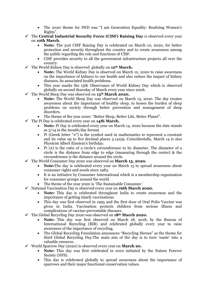- The 2020 theme for IWD was "I am Generation Equality: Realizing Women's Rights".
- ✓ The **Central Industrial Security Force (CISF) Raising Day** is observed every year on **10th March.**
	- **Note:** The 51st CISF Raising Day is celebrated on March 10, 2020, for better protection and security throughout the country and to create awareness among the public regarding the role and functions of CISF.
	- CISF provides security to all the government infrastructure projects all over the country.
- ✓ The World Kidney Day is observed globally on **12th March.**
	- **Note:** The World Kidney Day is observed on March 12, 2020 to raise awareness on the importance of kidneys to our health and also reduce the impact of kidney diseases, its associated health problems.
	- This year marks the 15th Observance of World Kidney Day which is observed globally on second thursday of March every year since 2006.
- ✓ The World Sleep Day was observed on **13th March 2020.**
	- **Note:** The World Sleep Day was observed on March 13, 2020. The day creates awareness about the importance of healthy sleep, to lessen the burden of sleep problems on society through better prevention and management of sleep disorders.
	- The theme of the year 2020: "Better Sleep, Better Life, Better Planet".
- ✓ The Pi Day is celebrated every year on **14th March.**
	- **Note:** Pi Day is celebrated every year on March 14, 2020 because the date stands as 3/14 in the month/day format.
	- Pi (Greek letter " $\pi$ ") is the symbol used in mathematics to represent a constant and its value up to five decimal places 3.14159. Coincidentally, March 14 is also Physicist Albert Einstein's birthday.
	- Pi  $(\pi)$  is the ratio of a circle's circumference to its diameter. The diameter of a circle is the distance from edge to edge (measuring through the center) & the circumference is the distance around the circle.
- ✓ The World Consumer Day 2020 was observed on **March 15, 2020.**
	- **Note:**The day is celebrated every year on March 15 to spread awareness about consumer rights and needs since 1983.
	- It is an initiative by Consumer International which is a membership organisation for consumer groups around the world.
	- The theme of the year 2020 is 'The Sustainable Consumer.'
- ✓ National Vaccination Day is observed every year on **16th March 2020.**
	- **Note:** This day is celebrated throughout India to create awareness and the importance of getting timely vaccinations.
	- This day was first observed in 1995 and the first dose of Oral Polio Vaccine was given in India. Vaccination protects children from serious illness and complications of vaccine-preventable diseases.
- ✓ The Global Recycling Day 2020 was observed on **18th March 2020.**
	- **Note:** This day was first observed on March 18, 2018, by the Bureau of International Recycling (BIR) and celebrated globally every year to raise awareness of the importance of recycling.
	- The Global Recycling Foundation announces "Recycling Heroes" as the theme for third Global Recycling Day.The main aim of the day is to turn 'waste' into a valuable resource.
- ✓ World Sparrow Day (2020) is observed every year on **March 20.**
	- **Note:** This day was first celebrated in 2010 initiated by the Nature Forever Society (NFS).
	- This day is celebrated globally to spread awareness about the importance of sparrows and their major functional conservation values.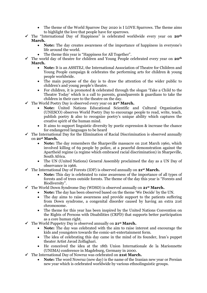- The theme of the World Sparrow Day 2020 is I LOVE Sparrows. The theme aims to highlight the love that people have for sparrows.
- ✓ The "International Day of Happiness" is celebrated worldwide every year on **20th March.**
	- **Note:** The day creates awareness of the importance of happiness in everyone's life around the world.
	- The theme this year is "Happiness for All Together".
- ✓ The world day of theatre for children and Young People celebrated every year on **20th March.**
	- **Note:** It is an ASSITEJ, the International Association of Theatre for Children and Young People campaign & celebrates the performing arts for children & young people worldwide.
	- The main purpose of the day is to draw the attention of the wider public to children's and young people's theatre.
	- For children, it is promoted & celebrated through the slogan 'Take a Child to the Theatre Today' which is a call to parents, grandparents & guardians to take the children in their care to the theatre on the day.
- ✓ The World Poetry Day is observed every year on **21st March.**
	- **Note:** United Nations Educational Scientific and Cultural Organization (UNESCO) observes World Poetry Day to encourage people to read, write, teach, publish poetry & also to recognize poetry's unique ability which captures the creative spirit of the human mind.
	- It aims to support linguistic diversity by poetic expression & increase the chance for endangered languages to be heard
- $\checkmark$  The International Day for the Elimination of Racial Discrimination is observed annually on **21st March.**
	- **Note:** The day remembers the Sharpeville massacre on 21st March 1960, which involved killing of 69 people by police, at a peaceful demonstration against the Apartheid regime (a regime which embraced racial discrimination) in Sharpeville, South Africa.
	- The UN (United Nations) General Assembly proclaimed the day as a UN Day of observance in 1966.
- ✓ The International Day of Forests (IDF) is observed annually on **21st March.**
	- **Note:** This day is celebrated to raise awareness of the importance of all types of forests and of trees outside forests. The theme of the day this year is "Forests and Biodiversity".
- ✓ The World Down Syndrome Day (WDSD) is observed annually on **21st March.**
	- **Note:** The day has been observed based on the theme 'We Decide' by the UN.
	- The day aims to raise awareness and provide support to the patients suffering from Down syndrome, a congenital disorder caused by having an extra 21st chromosome.
	- The theme for this year has been inspired by the United Nations Convention on the Rights of Persons with Disabilities (CRPD) that supports better participation as a core human right.
- ✓ The World Puppetry Day is observed annually on **21st March.**
	- **Note:** The day was celebrated with the aim to raise interest and encourage the kids and youngsters towards the comic-art-entertainment form.
	- The idea of celebrating this day came in the mind of its founder, Iran's puppet theater Artist Javad Zolfaghari.
	- He conceived the idea at the 18th Union Internationale de la Marionnette (UNIMA) conference in Magdeburg, Germany in 2000.
- ✓ The International Day of Nowruz was celebrated on **21st March.**
	- **Note:** The word Nowruz (new day) is the name of the Iranian new year or Persian new year which is celebrated worldwide by various ethnolinguistic groups.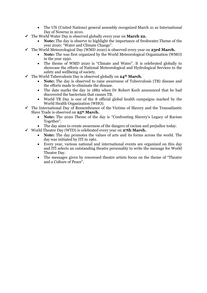- The UN (United Nations) general assembly recognized March 21 as International Day of Nowruz in 2010.
- ✓ The World Water Day is observed globally every year on **March 22.**
	- **Note:** The day is observe to highlight the importance of freshwater.Theme of the year 2020: "Water and Climate Change".
- ✓ The World Meteorological Day (WMD 2020) is observed every year on **23rd March.** 
	- **Note:** The was first organized by the World Meteorological Organization (WMO) in the year 1950.
	- The theme of WMD 2020 is "Climate and Water". It is celebrated globally to showcase the efforts of National Meteorological and Hydrological Services to the safety and wellbeing of society.
- ✓ The World Tuberculosis Day is observed globally on **24th March.**
	- **Note:** The day is observed to raise awareness of Tuberculosis (TB) disease and the efforts made to eliminate the disease.
	- The date marks the day in 1882 when Dr Robert Koch announced that he had discovered the bacterium that causes TB.
	- World TB Day is one of the 8 official global health campaigns marked by the World Health Organization (WHO).
- $\checkmark$  The International Day of Remembrance of the Victims of Slavery and the Transatlantic Slave Trade is observed on **25th March.**
	- **Note:** The 2020 Theme of the day is "Confronting Slavery's Legacy of Racism Together".
	- The day aims to create awareness of the dangers of racism and prejudice today.
- ✓ World Theatre Day (WTD) is celebrated every year on **27th March.**
	- **Note:** The day promotes the values of arts and its forms across the world. The day was initiated by ITI in 1961.
	- Every year, various national and international events are organized on this day and ITI selects an outstanding theatre personality to write the message for World Theatre Day.
	- The messages given by renowned theatre artists focus on the theme of "Theatre and a Culture of Peace".